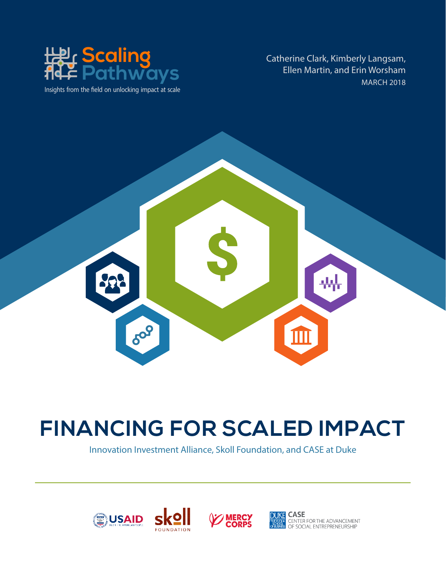

Insights from the field on unlocking impact at scale

Catherine Clark, Kimberly Langsam, Ellen Martin, and Erin Worsham MARCH 2018



## **FINANCING FOR SCALED IMPACT**

Innovation Investment Alliance, Skoll Foundation, and CASE at Duke



S kO





CHULER<br>CENTER FOR THE ADVANCEMENT<br>OF SOCIAL ENTREPRENEURSHIP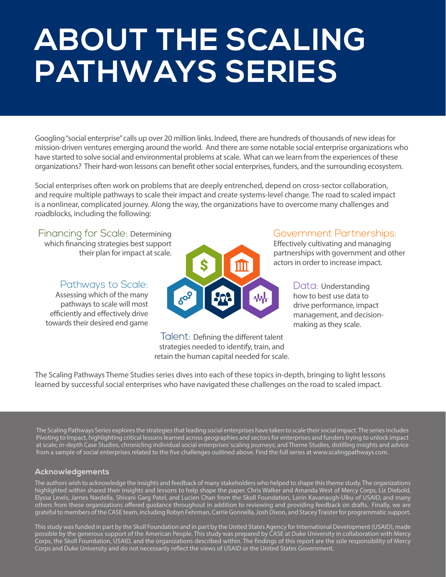# **ABOUT THE SCALING PATHWAYS SERIES**

Googling "social enterprise" calls up over 20 million links. Indeed, there are hundreds of thousands of new ideas for mission-driven ventures emerging around the world. And there are some notable social enterprise organizations who have started to solve social and environmental problems at scale. What can we learn from the experiences of these organizations? Their hard-won lessons can benefit other social enterprises, funders, and the surrounding ecosystem.

Social enterprises often work on problems that are deeply entrenched, depend on cross-sector collaboration, and require multiple pathways to scale their impact and create systems-level change. The road to scaled impact is a nonlinear, complicated journey. Along the way, the organizations have to overcome many challenges and roadblocks, including the following:

Financing for Scale: Determining which financing strategies best support their plan for impact at scale.

Pathways to Scale:

Assessing which of the many pathways to scale will most efficiently and effectively drive towards their desired end game



Talent: Defining the different talent strategies needed to identify, train, and retain the human capital needed for scale.

### Government Partnerships:

Effectively cultivating and managing partnerships with government and other actors in order to increase impact.

> Data: Understanding how to best use data to drive performance, impact management, and decisionmaking as they scale.

The Scaling Pathways Theme Studies series dives into each of these topics in-depth, bringing to light lessons learned by successful social enterprises who have navigated these challenges on the road to scaled impact.

The Scaling Pathways Series explores the strategies that leading social enterprises have taken to scale their social impact. The series includes Pivoting to Impact, highlighting critical lessons learned across geographies and sectors for enterprises and funders trying to unlock impact at scale; in-depth Case Studies, chronicling individual social enterprises' scaling journeys; and Theme Studies, distilling insights and advice from a sample of social enterprises related to the five challenges outlined above. Find the full series at www.scalingpathways.com.

#### **Acknowledgements**

The authors wish to acknowledge the insights and feedback of many stakeholders who helped to shape this theme study. The organizations highlighted within shared their insights and lessons to help shape the paper. Chris Walker and Amanda West of Mercy Corps, Liz Diebold, Elyssa Lewis, James Nardella, Shivani Garg Patel, and Lucien Chan from the Skoll Foundation, Lorin Kavanaugh-Ulku of USAID, and many others from these organizations offered guidance throughout in addition to reviewing and providing feedback on drafts. Finally, we are grateful to members of the CASE team, including Robyn Fehrman, Carrie Gonnella, Josh Dixon, and Stacey Traister for programmatic support.

This study was funded in part by the Skoll Foundation and in part by the United States Agency for International Development (USAID), made possible by the generous support of the American People. This study was prepared by CASE at Duke University in collaboration with Mercy Corps, the Skoll Foundation, USAID, and the organizations described within. The findings of this report are the sole responsibility of Mercy Corps and Duke University and do not necessarily reflect the views of USAID or the United States Government.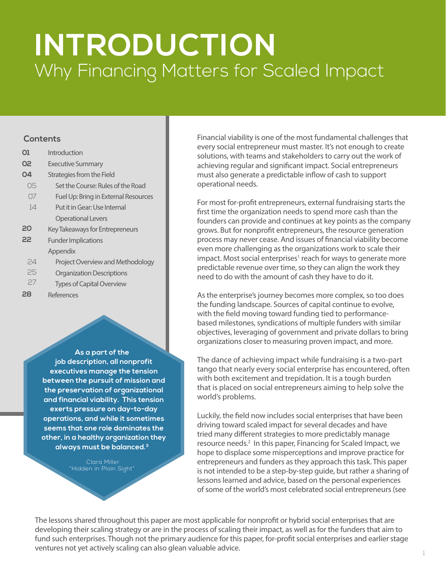## **INTRODUCTION**  Why Financing Matters for Scaled Impact

| 01 | Introduction                         |
|----|--------------------------------------|
| 02 | <b>Executive Summary</b>             |
| O4 | Strategies from the Field            |
| 05 | Set the Course: Rules of the Road    |
| 07 | Fuel Up: Bring in External Resources |
| 14 | Put it in Gear: Use Internal         |
|    | <b>Operational Levers</b>            |
| 20 | Key Takeaways for Entrepreneurs      |
| 22 | <b>Funder Implications</b>           |
|    | Appendix                             |
| 74 | Project Overview and Methodology     |
| 25 | <b>Organization Descriptions</b>     |
| 27 | <b>Types of Capital Overview</b>     |
| 28 | References                           |

**As a part of the job description, all nonprofit executives manage the tension between the pursuit of mission and the preservation of organizational and financial viability. This tension exerts pressure on day-to-day operations, and while it sometimes seems that one role dominates the other, in a healthy organization they always must be balanced.3**

> Clara Miller "Hidden in Plain Sight"

**Contents Financial viability is one of the most fundamental challenges that Financial viability is one of the most fundamental challenges that** every social entrepreneur must master. It's not enough to create solutions, with teams and stakeholders to carry out the work of achieving regular and significant impact. Social entrepreneurs must also generate a predictable inflow of cash to support operational needs.

> For most for-profit entrepreneurs, external fundraising starts the first time the organization needs to spend more cash than the founders can provide and continues at key points as the company grows. But for nonprofit entrepreneurs, the resource generation process may never cease. And issues of financial viability become even more challenging as the organizations work to scale their impact. Most social enterprises<sup>1</sup> reach for ways to generate more predictable revenue over time, so they can align the work they need to do with the amount of cash they have to do it.

As the enterprise's journey becomes more complex, so too does the funding landscape. Sources of capital continue to evolve, with the field moving toward funding tied to performancebased milestones, syndications of multiple funders with similar objectives, leveraging of government and private dollars to bring organizations closer to measuring proven impact, and more.

The dance of achieving impact while fundraising is a two-part tango that nearly every social enterprise has encountered, often with both excitement and trepidation. It is a tough burden that is placed on social entrepreneurs aiming to help solve the world's problems.

Luckily, the field now includes social enterprises that have been driving toward scaled impact for several decades and have tried many different strategies to more predictably manage resource needs.<sup>2</sup> In this paper, Financing for Scaled Impact, we hope to displace some misperceptions and improve practice for entrepreneurs and funders as they approach this task. This paper is not intended to be a step-by-step guide, but rather a sharing of lessons learned and advice, based on the personal experiences of some of the world's most celebrated social entrepreneurs (see

The lessons shared throughout this paper are most applicable for nonprofit or hybrid social enterprises that are developing their scaling strategy or are in the process of scaling their impact, as well as for the funders that aim to fund such enterprises. Though not the primary audience for this paper, for-profit social enterprises and earlier stage ventures not yet actively scaling can also glean valuable advice.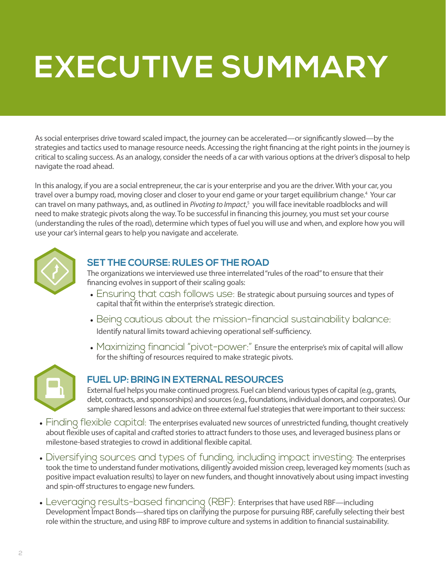# **EXECUTIVE SUMMARY**

As social enterprises drive toward scaled impact, the journey can be accelerated—or significantly slowed—by the strategies and tactics used to manage resource needs. Accessing the right financing at the right points in the journey is critical to scaling success. As an analogy, consider the needs of a car with various options at the driver's disposal to help navigate the road ahead.

In this analogy, if you are a social entrepreneur, the car is your enterprise and you are the driver. With your car, you travel over a bumpy road, moving closer and closer to your end game or your target equilibrium change.4 Your car can travel on many pathways, and, as outlined in Pivoting to Impact,<sup>5</sup> you will face inevitable roadblocks and will need to make strategic pivots along the way. To be successful in financing this journey, you must set your course (understanding the rules of the road), determine which types of fuel you will use and when, and explore how you will use your car's internal gears to help you navigate and accelerate.



### **SET THE COURSE: RULES OF THE ROAD**

The organizations we interviewed use three interrelated "rules of the road" to ensure that their financing evolves in support of their scaling goals:

- Ensuring that cash follows use: Be strategic about pursuing sources and types of capital that fit within the enterprise's strategic direction.
- Being cautious about the mission-financial sustainability balance: Identify natural limits toward achieving operational self-sufficiency.
- Maximizing financial "pivot-power:" Ensure the enterprise's mix of capital will allow for the shifting of resources required to make strategic pivots.



#### **FUEL UP: BRING IN EXTERNAL RESOURCES**

External fuel helps you make continued progress. Fuel can blend various types of capital (e.g., grants, debt, contracts, and sponsorships) and sources (e.g., foundations, individual donors, and corporates). Our sample shared lessons and advice on three external fuel strategies that were important to their success:

- Finding flexible capital: The enterprises evaluated new sources of unrestricted funding, thought creatively about flexible uses of capital and crafted stories to attract funders to those uses, and leveraged business plans or milestone-based strategies to crowd in additional flexible capital.
- Diversifying sources and types of funding, including impact investing: The enterprises took the time to understand funder motivations, diligently avoided mission creep, leveraged key moments (such as positive impact evaluation results) to layer on new funders, and thought innovatively about using impact investing and spin-off structures to engage new funders.
- Leveraging results-based financing (RBF): Enterprises that have used RBF—including Development Impact Bonds—shared tips on clarifying the purpose for pursuing RBF, carefully selecting their best role within the structure, and using RBF to improve culture and systems in addition to financial sustainability.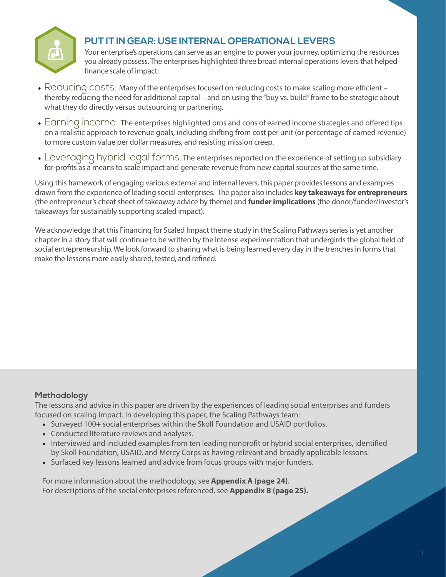

### **PUT IT IN GEAR: USE INTERNAL OPERATIONAL LEVERS**

Your enterprise's operations can serve as an engine to power your journey, optimizing the resources you already possess. The enterprises highlighted three broad internal operations levers that helped finance scale of impact:

- Reducing costs: Many of the enterprises focused on reducing costs to make scaling more efficient thereby reducing the need for additional capital – and on using the "buy vs. build" frame to be strategic about what they do directly versus outsourcing or partnering.
- Earning income: The enterprises highlighted pros and cons of earned income strategies and offered tips on a realistic approach to revenue goals, including shifting from cost per unit (or percentage of earned revenue) to more custom value per dollar measures, and resisting mission creep.
- Leveraging hybrid legal forms: The enterprises reported on the experience of setting up subsidiary for-profits as a means to scale impact and generate revenue from new capital sources at the same time.

Using this framework of engaging various external and internal levers, this paper provides lessons and examples drawn from the experience of leading social enterprises. The paper also includes **key takeaways for entrepreneurs** (the entrepreneur's cheat sheet of takeaway advice by theme) and **funder implications** (the donor/funder/investor's takeaways for sustainably supporting scaled impact).

We acknowledge that this Financing for Scaled Impact theme study in the Scaling Pathways series is yet another chapter in a story that will continue to be written by the intense experimentation that undergirds the global field of social entrepreneurship. We look forward to sharing what is being learned every day in the trenches in forms that make the lessons more easily shared, tested, and refined.

#### **Methodology**

The lessons and advice in this paper are driven by the experiences of leading social enterprises and funders focused on scaling impact. In developing this paper, the Scaling Pathways team:

- Surveyed 100+ social enterprises within the Skoll Foundation and USAID portfolios.
- Conducted literature reviews and analyses.
- Interviewed and included examples from ten leading nonprofit or hybrid social enterprises, identified by Skoll Foundation, USAID, and Mercy Corps as having relevant and broadly applicable lessons.
- Surfaced key lessons learned and advice from focus groups with major funders.

For more information about the methodology, see **Appendix A (page 24)**. For descriptions of the social enterprises referenced, see **Appendix B (page 25).**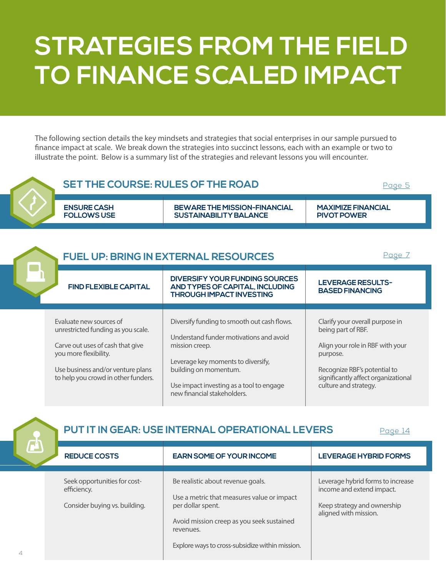## **STRATEGIES FROM THE FIELD TO FINANCE SCALED IMPACT**

The following section details the key mindsets and strategies that social enterprises in our sample pursued to finance impact at scale. We break down the strategies into succinct lessons, each with an example or two to illustrate the point. Below is a summary list of the strategies and relevant lessons you will encounter.





**PUT IT IN GEAR: USE INTERNAL OPERATIONAL LEVERS**

[Page 14](#page-15-0)

| <b>REDUCE COSTS</b>           | <b>EARN SOME OF YOUR INCOME</b>                        | LEVERAGE HYBRID FORMS             |
|-------------------------------|--------------------------------------------------------|-----------------------------------|
|                               |                                                        |                                   |
| Seek opportunities for cost-  | Be realistic about revenue goals.                      | Leverage hybrid forms to increase |
| efficiency.                   | Use a metric that measures value or impact             | income and extend impact.         |
| Consider buying vs. building. | per dollar spent.                                      | Keep strategy and ownership       |
|                               | Avoid mission creep as you seek sustained<br>revenues. | aligned with mission.             |
|                               | Explore ways to cross-subsidize within mission.        |                                   |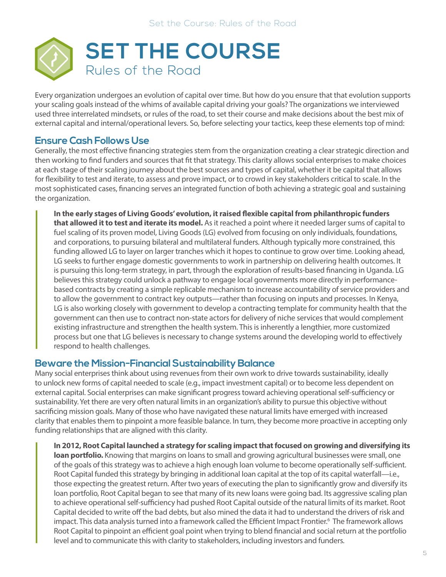<span id="page-6-0"></span>

Every organization undergoes an evolution of capital over time. But how do you ensure that that evolution supports your scaling goals instead of the whims of available capital driving your goals? The organizations we interviewed used three interrelated mindsets, or rules of the road, to set their course and make decisions about the best mix of external capital and internal/operational levers. So, before selecting your tactics, keep these elements top of mind:

#### **Ensure Cash Follows Use**

Generally, the most effective financing strategies stem from the organization creating a clear strategic direction and then working to find funders and sources that fit that strategy. This clarity allows social enterprises to make choices at each stage of their scaling journey about the best sources and types of capital, whether it be capital that allows for flexibility to test and iterate, to assess and prove impact, or to crowd in key stakeholders critical to scale. In the most sophisticated cases, financing serves an integrated function of both achieving a strategic goal and sustaining the organization.

**In the early stages of Living Goods' evolution, it raised flexible capital from philanthropic funders that allowed it to test and iterate its model.** As it reached a point where it needed larger sums of capital to fuel scaling of its proven model, Living Goods (LG) evolved from focusing on only individuals, foundations, and corporations, to pursuing bilateral and multilateral funders. Although typically more constrained, this funding allowed LG to layer on larger tranches which it hopes to continue to grow over time. Looking ahead, LG seeks to further engage domestic governments to work in partnership on delivering health outcomes. It is pursuing this long-term strategy, in part, through the exploration of results-based financing in Uganda. LG believes this strategy could unlock a pathway to engage local governments more directly in performancebased contracts by creating a simple replicable mechanism to increase accountability of service providers and to allow the government to contract key outputs—rather than focusing on inputs and processes. In Kenya, LG is also working closely with government to develop a contracting template for community health that the government can then use to contract non-state actors for delivery of niche services that would complement existing infrastructure and strengthen the health system. This is inherently a lengthier, more customized process but one that LG believes is necessary to change systems around the developing world to effectively respond to health challenges.

#### **Beware the Mission-Financial Sustainability Balance**

Many social enterprises think about using revenues from their own work to drive towards sustainability, ideally to unlock new forms of capital needed to scale (e.g., impact investment capital) or to become less dependent on external capital. Social enterprises can make significant progress toward achieving operational self-sufficiency or sustainability. Yet there are very often natural limits in an organization's ability to pursue this objective without sacrificing mission goals. Many of those who have navigated these natural limits have emerged with increased clarity that enables them to pinpoint a more feasible balance. In turn, they become more proactive in accepting only funding relationships that are aligned with this clarity.

**In 2012, Root Capital launched a strategy for scaling impact that focused on growing and diversifying its loan portfolio.** Knowing that margins on loans to small and growing agricultural businesses were small, one of the goals of this strategy was to achieve a high enough loan volume to become operationally self-sufficient. Root Capital funded this strategy by bringing in additional loan capital at the top of its capital waterfall—i.e., those expecting the greatest return. After two years of executing the plan to significantly grow and diversify its loan portfolio, Root Capital began to see that many of its new loans were going bad. Its aggressive scaling plan to achieve operational self-sufficiency had pushed Root Capital outside of the natural limits of its market. Root Capital decided to write off the bad debts, but also mined the data it had to understand the drivers of risk and impact. This data analysis turned into a framework called the Efficient Impact Frontier.6 The framework allows Root Capital to pinpoint an efficient goal point when trying to blend financial and social return at the portfolio level and to communicate this with clarity to stakeholders, including investors and funders.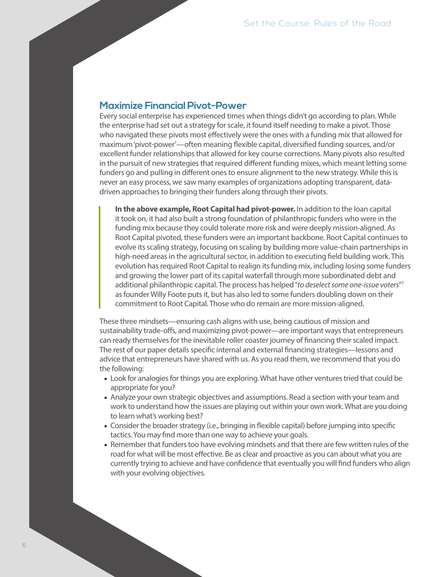#### **Maximize Financial Pivot-Power**

Every social enterprise has experienced times when things didn't go according to plan. While the enterprise had set out a strategy for scale, it found itself needing to make a pivot. Those who navigated these pivots most effectively were the ones with a funding mix that allowed for maximum 'pivot-power'—often meaning flexible capital, diversified funding sources, and/or excellent funder relationships that allowed for key course corrections. Many pivots also resulted in the pursuit of new strategies that required different funding mixes, which meant letting some funders go and pulling in different ones to ensure alignment to the new strategy. While this is never an easy process, we saw many examples of organizations adopting transparent, datadriven approaches to bringing their funders along through their pivots.

**In the above example, Root Capital had pivot-power.** In addition to the loan capital it took on, it had also built a strong foundation of philanthropic funders who were in the funding mix because they could tolerate more risk and were deeply mission-aligned. As Root Capital pivoted, these funders were an important backbone. Root Capital continues to evolve its scaling strategy, focusing on scaling by building more value-chain partnerships in high-need areas in the agricultural sector, in addition to executing field building work. This evolution has required Root Capital to realign its funding mix, including losing some funders and growing the lower part of its capital waterfall through more subordinated debt and additional philanthropic capital. The process has helped "*to deselect some one-issue voters*"7 as founder Willy Foote puts it, but has also led to some funders doubling down on their commitment to Root Capital. Those who do remain are more mission-aligned.

These three mindsets—ensuring cash aligns with use, being cautious of mission and sustainability trade-offs, and maximizing pivot-power—are important ways that entrepreneurs can ready themselves for the inevitable roller coaster journey of financing their scaled impact. The rest of our paper details specific internal and external financing strategies—lessons and advice that entrepreneurs have shared with us. As you read them, we recommend that you do the following:

- Look for analogies for things you are exploring. What have other ventures tried that could be appropriate for you?
- Analyze your own strategic objectives and assumptions. Read a section with your team and work to understand how the issues are playing out within your own work. What are you doing to learn what's working best?
- Consider the broader strategy (i.e., bringing in flexible capital) before jumping into specific tactics. You may find more than one way to achieve your goals.
- Remember that funders too have evolving mindsets and that there are few written rules of the road for what will be most effective. Be as clear and proactive as you can about what you are currently trying to achieve and have confidence that eventually you will find funders who align with your evolving objectives.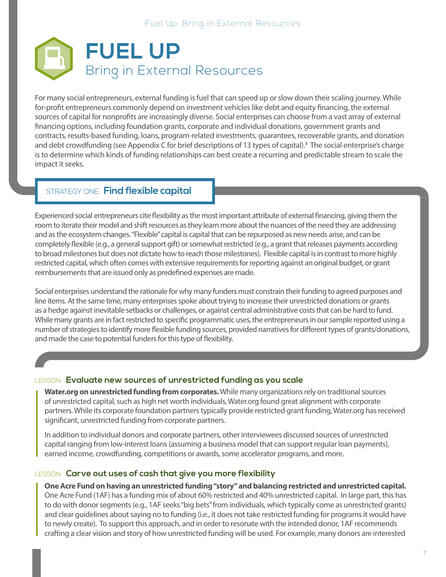<span id="page-8-0"></span>

For many social entrepreneurs, external funding is fuel that can speed up or slow down their scaling journey. While for-profit entrepreneurs commonly depend on investment vehicles like debt and equity financing, the external sources of capital for nonprofits are increasingly diverse. Social enterprises can choose from a vast array of external financing options, including foundation grants, corporate and individual donations, government grants and contracts, results-based funding, loans, program-related investments, guarantees, recoverable grants, and donation and debt crowdfunding (see Appendix C for brief descriptions of 13 types of capital).<sup>8</sup> The social enterprise's charge is to determine which kinds of funding relationships can best create a recurring and predictable stream to scale the impact it seeks.

#### STRATEGY ONE: **Find flexible capital**

Experienced social entrepreneurs cite flexibility as the most important attribute of external financing, giving them the room to iterate their model and shift resources as they learn more about the nuances of the need they are addressing and as the ecosystem changes. "Flexible" capital is capital that can be repurposed as new needs arise, and can be completely flexible (e.g., a general support gift) or somewhat restricted (e.g., a grant that releases payments according to broad milestones but does not dictate how to reach those milestones). Flexible capital is in contrast to more highly restricted capital, which often comes with extensive requirements for reporting against an original budget, or grant reimbursements that are issued only as predefined expenses are made.

Social enterprises understand the rationale for why many funders must constrain their funding to agreed purposes and line items. At the same time, many enterprises spoke about trying to increase their unrestricted donations or grants as a hedge against inevitable setbacks or challenges, or against central administrative costs that can be hard to fund. While many grants are in fact restricted to specific programmatic uses, the entrepreneurs in our sample reported using a number of strategies to identify more flexible funding sources, provided narratives for different types of grants/donations, and made the case to potential funders for this type of flexibility.

#### LESSON: **Evaluate new sources of unrestricted funding as you scale**

**Water.org on unrestricted funding from corporates.** While many organizations rely on traditional sources of unrestricted capital, such as high net worth individuals, Water.org found great alignment with corporate partners. While its corporate foundation partners typically provide restricted grant funding, Water.org has received significant, unrestricted funding from corporate partners.

In addition to individual donors and corporate partners, other interviewees discussed sources of unrestricted capital ranging from low-interest loans (assuming a business model that can support regular loan payments), earned income, crowdfunding, competitions or awards, some accelerator programs, and more.

#### LESSON: **Carve out uses of cash that give you more flexibility**

**One Acre Fund on having an unrestricted funding "story" and balancing restricted and unrestricted capital.**  One Acre Fund (1AF) has a funding mix of about 60% restricted and 40% unrestricted capital. In large part, this has to do with donor segments (e.g., 1AF seeks "big bets" from individuals, which typically come as unrestricted grants) and clear guidelines about saying no to funding (i.e., it does not take restricted funding for programs it would have to newly create). To support this approach, and in order to resonate with the intended donor, 1AF recommends crafting a clear vision and story of how unrestricted funding will be used. For example, many donors are interested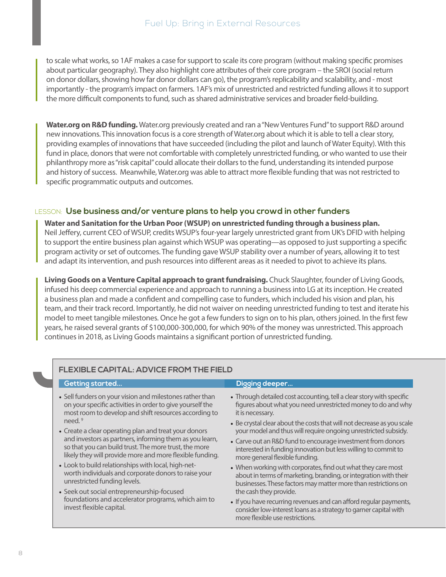<span id="page-9-0"></span>to scale what works, so 1AF makes a case for support to scale its core program (without making specific promises about particular geography). They also highlight core attributes of their core program – the SROI (social return on donor dollars, showing how far donor dollars can go), the program's replicability and scalability, and - most importantly - the program's impact on farmers. 1AF's mix of unrestricted and restricted funding allows it to support the more difficult components to fund, such as shared administrative services and broader field-building.

**Water.org on R&D funding.** Water.org previously created and ran a "New Ventures Fund" to support R&D around new innovations. This innovation focus is a core strength of Water.org about which it is able to tell a clear story, providing examples of innovations that have succeeded (including the pilot and launch of Water Equity). With this fund in place, donors that were not comfortable with completely unrestricted funding, or who wanted to use their philanthropy more as "risk capital" could allocate their dollars to the fund, understanding its intended purpose and history of success. Meanwhile, Water.org was able to attract more flexible funding that was not restricted to specific programmatic outputs and outcomes.

#### LESSON: **Use business and/or venture plans to help you crowd in other funders**

**Water and Sanitation for the Urban Poor (WSUP) on unrestricted funding through a business plan.**  Neil Jeffery, current CEO of WSUP, credits WSUP's four-year largely unrestricted grant from UK's DFID with helping to support the entire business plan against which WSUP was operating—as opposed to just supporting a specific program activity or set of outcomes. The funding gave WSUP stability over a number of years, allowing it to test and adapt its intervention, and push resources into different areas as it needed to pivot to achieve its plans.

**Living Goods on a Venture Capital approach to grant fundraising.** Chuck Slaughter, founder of Living Goods, infused his deep commercial experience and approach to running a business into LG at its inception. He created a business plan and made a confident and compelling case to funders, which included his vision and plan, his team, and their track record. Importantly, he did not waiver on needing unrestricted funding to test and iterate his model to meet tangible milestones. Once he got a few funders to sign on to his plan, others joined. In the first few years, he raised several grants of \$100,000-300,000, for which 90% of the money was unrestricted. This approach continues in 2018, as Living Goods maintains a significant portion of unrestricted funding.

| Getting started                                                                | Digging deeper                                                                                                                                                           |
|--------------------------------------------------------------------------------|--------------------------------------------------------------------------------------------------------------------------------------------------------------------------|
| • Sell funders on your vision and milestones rather than                       | • Through detailed cost accounting, tell a clear story with specific                                                                                                     |
| on your specific activities in order to give yourself the                      | figures about what you need unrestricted money to do and why                                                                                                             |
| most room to develop and shift resources according to                          | it is necessary.                                                                                                                                                         |
| need. <sup>9</sup>                                                             | • Be crystal clear about the costs that will not decrease as you scale                                                                                                   |
| • Create a clear operating plan and treat your donors                          | your model and thus will require ongoing unrestricted subsidy.                                                                                                           |
| and investors as partners, informing them as you learn,                        | • Carve out an R&D fund to encourage investment from donors                                                                                                              |
| so that you can build trust. The more trust, the more                          | interested in funding innovation but less willing to commit to                                                                                                           |
| likely they will provide more and more flexible funding.                       | more general flexible funding.                                                                                                                                           |
| • Look to build relationships with local, high-net-                            | • When working with corporates, find out what they care most                                                                                                             |
| worth individuals and corporate donors to raise your                           | about in terms of marketing, branding, or integration with their                                                                                                         |
| unrestricted funding levels.                                                   | businesses. These factors may matter more than restrictions on                                                                                                           |
| • Seek out social entrepreneurship-focused                                     | the cash they provide.                                                                                                                                                   |
| foundations and accelerator programs, which aim to<br>invest flexible capital. | • If you have recurring revenues and can afford regular payments,<br>consider low-interest loans as a strategy to garner capital with<br>more flexible use restrictions. |

#### **FLEXIBLE CAPITAL: ADVICE FROM THE FIELD**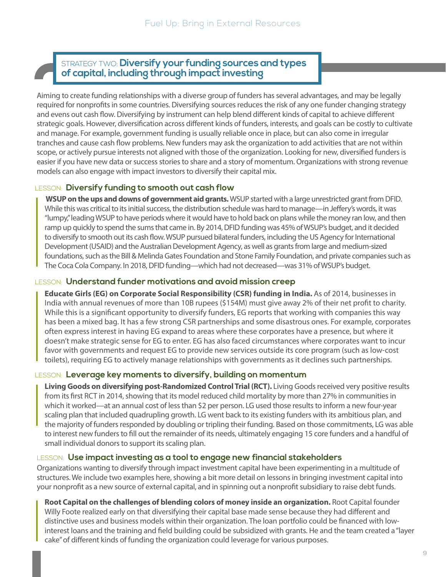## <span id="page-10-0"></span>STRATEGY TWO: **Diversify your funding sources and types of capital, including through impact investing**

Aiming to create funding relationships with a diverse group of funders has several advantages, and may be legally required for nonprofits in some countries. Diversifying sources reduces the risk of any one funder changing strategy and evens out cash flow. Diversifying by instrument can help blend different kinds of capital to achieve different strategic goals. However, diversification across different kinds of funders, interests, and goals can be costly to cultivate and manage. For example, government funding is usually reliable once in place, but can also come in irregular tranches and cause cash flow problems. New funders may ask the organization to add activities that are not within scope, or actively pursue interests not aligned with those of the organization. Looking for new, diversified funders is easier if you have new data or success stories to share and a story of momentum. Organizations with strong revenue models can also engage with impact investors to diversify their capital mix.

#### LESSON: **Diversify funding to smooth out cash flow**

 **WSUP on the ups and downs of government aid grants.** WSUP started with a large unrestricted grant from DFID. While this was critical to its initial success, the distribution schedule was hard to manage—in Jeffery's words, it was "lumpy," leading WSUP to have periods where it would have to hold back on plans while the money ran low, and then ramp up quickly to spend the sums that came in. By 2014, DFID funding was 45% of WSUP's budget, and it decided to diversify to smooth out its cash flow. WSUP pursued bilateral funders, including the US Agency for International Development (USAID) and the Australian Development Agency, as well as grants from large and medium-sized foundations, such as the Bill & Melinda Gates Foundation and Stone Family Foundation, and private companies such as The Coca Cola Company. In 2018, DFID funding—which had not decreased—was 31% of WSUP's budget.

#### LESSON: **Understand funder motivations and avoid mission creep**

**Educate Girls (EG) on Corporate Social Responsibility (CSR) funding in India.** As of 2014, businesses in India with annual revenues of more than 10B rupees (\$154M) must give away 2% of their net profit to charity. While this is a significant opportunity to diversify funders, EG reports that working with companies this way has been a mixed bag. It has a few strong CSR partnerships and some disastrous ones. For example, corporates often express interest in having EG expand to areas where these corporates have a presence, but where it doesn't make strategic sense for EG to enter. EG has also faced circumstances where corporates want to incur favor with governments and request EG to provide new services outside its core program (such as low-cost toilets), requiring EG to actively manage relationships with governments as it declines such partnerships.

#### LESSON: **Leverage key moments to diversify, building on momentum**

**Living Goods on diversifying post-Randomized Control Trial (RCT).** Living Goods received very positive results from its first RCT in 2014, showing that its model reduced child mortality by more than 27% in communities in which it worked—at an annual cost of less than \$2 per person. LG used those results to inform a new four-year scaling plan that included quadrupling growth. LG went back to its existing funders with its ambitious plan, and the majority of funders responded by doubling or tripling their funding. Based on those commitments, LG was able to interest new funders to fill out the remainder of its needs, ultimately engaging 15 core funders and a handful of small individual donors to support its scaling plan.

#### LESSON: **Use impact investing as a tool to engage new financial stakeholders**

Organizations wanting to diversify through impact investment capital have been experimenting in a multitude of structures. We include two examples here, showing a bit more detail on lessons in bringing investment capital into your nonprofit as a new source of external capital, and in spinning out a nonprofit subsidiary to raise debt funds.

**Root Capital on the challenges of blending colors of money inside an organization.** Root Capital founder Willy Foote realized early on that diversifying their capital base made sense because they had different and distinctive uses and business models within their organization. The loan portfolio could be financed with lowinterest loans and the training and field building could be subsidized with grants. He and the team created a "layer cake" of different kinds of funding the organization could leverage for various purposes.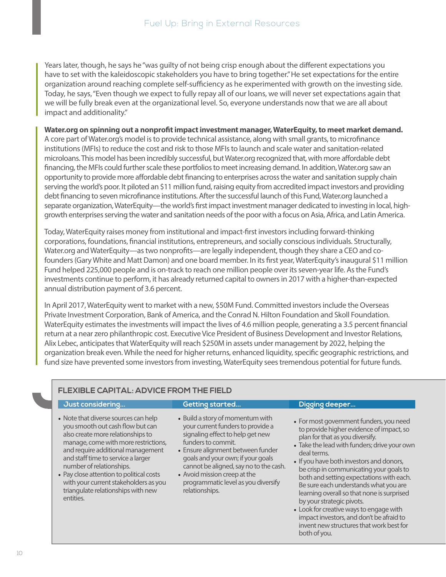Years later, though, he says he "was guilty of not being crisp enough about the different expectations you have to set with the kaleidoscopic stakeholders you have to bring together." He set expectations for the entire organization around reaching complete self-sufficiency as he experimented with growth on the investing side. Today, he says, "Even though we expect to fully repay all of our loans, we will never set expectations again that we will be fully break even at the organizational level. So, everyone understands now that we are all about impact and additionality."

#### **Water.org on spinning out a nonprofit impact investment manager, WaterEquity, to meet market demand.**

A core part of Water.org's model is to provide technical assistance, along with small grants, to microfinance institutions (MFIs) to reduce the cost and risk to those MFIs to launch and scale water and sanitation-related microloans. This model has been incredibly successful, but Water.org recognized that, with more affordable debt financing, the MFIs could further scale these portfolios to meet increasing demand. In addition, Water.org saw an opportunity to provide more affordable debt financing to enterprises across the water and sanitation supply chain serving the world's poor. It piloted an \$11 million fund, raising equity from accredited impact investors and providing debt financing to seven microfinance institutions. After the successful launch of this Fund, Water.org launched a separate organization, WaterEquity—the world's first impact investment manager dedicated to investing in local, highgrowth enterprises serving the water and sanitation needs of the poor with a focus on Asia, Africa, and Latin America.

Today, WaterEquity raises money from institutional and impact-first investors including forward-thinking corporations, foundations, financial institutions, entrepreneurs, and socially conscious individuals. Structurally, Water.org and WaterEquity—as two nonprofits—are legally independent, though they share a CEO and cofounders (Gary White and Matt Damon) and one board member. In its first year, WaterEquity's inaugural \$11 million Fund helped 225,000 people and is on-track to reach one million people over its seven-year life. As the Fund's investments continue to perform, it has already returned capital to owners in 2017 with a higher-than-expected annual distribution payment of 3.6 percent.

In April 2017, WaterEquity went to market with a new, \$50M Fund. Committed investors include the Overseas Private Investment Corporation, Bank of America, and the Conrad N. Hilton Foundation and Skoll Foundation. WaterEquity estimates the investments will impact the lives of 4.6 million people, generating a 3.5 percent financial return at a near zero philanthropic cost. Executive Vice President of Business Development and Investor Relations, Alix Lebec, anticipates that WaterEquity will reach \$250M in assets under management by 2022, helping the organization break even. While the need for higher returns, enhanced liquidity, specific geographic restrictions, and fund size have prevented some investors from investing, WaterEquity sees tremendous potential for future funds.

#### **FLEXIBLE CAPITAL: ADVICE FROM THE FIELD**

#### **Just considering... Getting started... Digging deeper...**

- 
- 
- Note that diverse sources can help you smooth out cash flow but can also create more relationships to manage, come with more restrictions, and require additional management and staff time to service a larger number of relationships.
- Pay close attention to political costs with your current stakeholders as you triangulate relationships with new entities.
- Build a story of momentum with your current funders to provide a signaling effect to help get new funders to commit.
- Ensure alignment between funder goals and your own; if your goals cannot be aligned, say no to the cash.
- Avoid mission creep at the programmatic level as you diversify relationships.
- For most government funders, you need to provide higher evidence of impact, so plan for that as you diversify.
- Take the lead with funders; drive your own deal terms.
- If you have both investors and donors, be crisp in communicating your goals to both and setting expectations with each. Be sure each understands what you are learning overall so that none is surprised by your strategic pivots.
- Look for creative ways to engage with impact investors, and don't be afraid to invent new structures that work best for both of you.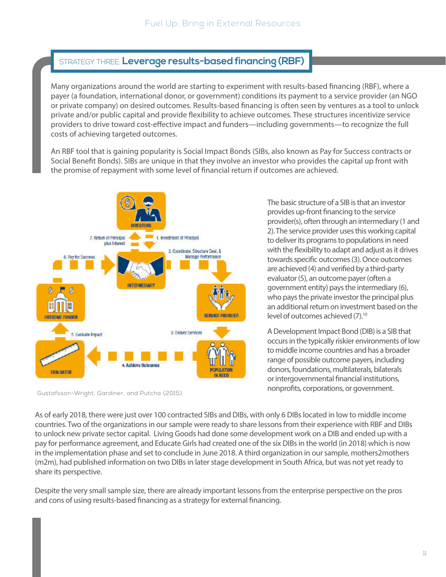### <span id="page-12-0"></span>STRATEGY THREE: **Leverage results-based financing (RBF)**

Many organizations around the world are starting to experiment with results-based financing (RBF), where a payer (a foundation, international donor, or government) conditions its payment to a service provider (an NGO or private company) on desired outcomes. Results-based financing is often seen by ventures as a tool to unlock private and/or public capital and provide flexibility to achieve outcomes. These structures incentivize service providers to drive toward cost-effective impact and funders—including governments—to recognize the full costs of achieving targeted outcomes.

An RBF tool that is gaining popularity is Social Impact Bonds (SIBs, also known as Pay for Success contracts or Social Benefit Bonds). SIBs are unique in that they involve an investor who provides the capital up front with the promise of repayment with some level of financial return if outcomes are achieved.



Gustafsson-Wright, Gardiner, and Putcha (2015).

The basic structure of a SIB is that an investor provides up-front financing to the service provider(s), often through an intermediary (1 and 2). The service provider uses this working capital to deliver its programs to populations in need with the flexibility to adapt and adjust as it drives towards specific outcomes (3). Once outcomes are achieved (4) and verified by a third-party evaluator (5), an outcome payer (often a government entity) pays the intermediary (6), who pays the private investor the principal plus an additional return on investment based on the level of outcomes achieved (7).10

A Development Impact Bond (DIB) is a SIB that occurs in the typically riskier environments of low to middle income countries and has a broader range of possible outcome payers, including donors, foundations, multilaterals, bilaterals or intergovernmental financial institutions, nonprofits, corporations, or government.

As of early 2018, there were just over 100 contracted SIBs and DIBs, with only 6 DIBs located in low to middle income countries. Two of the organizations in our sample were ready to share lessons from their experience with RBF and DIBs to unlock new private sector capital. Living Goods had done some development work on a DIB and ended up with a pay for performance agreement, and Educate Girls had created one of the six DIBs in the world (in 2018) which is now in the implementation phase and set to conclude in June 2018. A third organization in our sample, mothers2mothers (m2m), had published information on two DIBs in later stage development in South Africa, but was not yet ready to share its perspective.

Despite the very small sample size, there are already important lessons from the enterprise perspective on the pros and cons of using results-based financing as a strategy for external financing.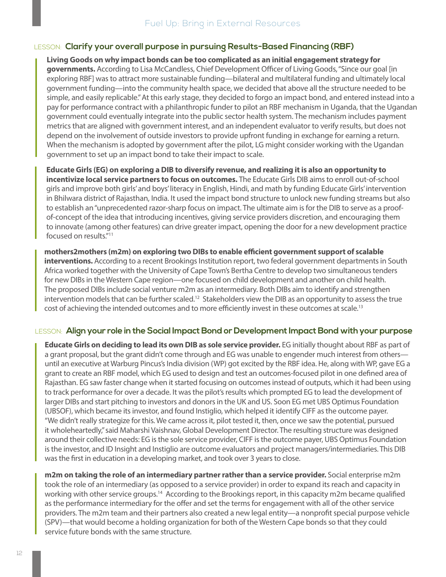#### <span id="page-13-0"></span>LESSON: **Clarify your overall purpose in pursuing Results-Based Financing (RBF)**

**Living Goods on why impact bonds can be too complicated as an initial engagement strategy for governments.** According to Lisa McCandless, Chief Development Officer of Living Goods, "Since our goal [in exploring RBF] was to attract more sustainable funding—bilateral and multilateral funding and ultimately local government funding—into the community health space, we decided that above all the structure needed to be simple, and easily replicable." At this early stage, they decided to forgo an impact bond, and entered instead into a pay for performance contract with a philanthropic funder to pilot an RBF mechanism in Uganda, that the Ugandan government could eventually integrate into the public sector health system. The mechanism includes payment metrics that are aligned with government interest, and an independent evaluator to verify results, but does not depend on the involvement of outside investors to provide upfront funding in exchange for earning a return. When the mechanism is adopted by government after the pilot, LG might consider working with the Ugandan government to set up an impact bond to take their impact to scale.

**Educate Girls (EG) on exploring a DIB to diversify revenue, and realizing it is also an opportunity to incentivize local service partners to focus on outcomes.** The Educate Girls DIB aims to enroll out-of-school girls and improve both girls' and boys' literacy in English, Hindi, and math by funding Educate Girls' intervention in Bhilwara district of Rajasthan, India. It used the impact bond structure to unlock new funding streams but also to establish an "unprecedented razor-sharp focus on impact. The ultimate aim is for the DIB to serve as a proofof-concept of the idea that introducing incentives, giving service providers discretion, and encouraging them to innovate (among other features) can drive greater impact, opening the door for a new development practice focused on results."11

**mothers2mothers (m2m) on exploring two DIBs to enable efficient government support of scalable interventions.** According to a recent Brookings Institution report, two federal government departments in South Africa worked together with the University of Cape Town's Bertha Centre to develop two simultaneous tenders for new DIBs in the Western Cape region—one focused on child development and another on child health. The proposed DIBs include social venture m2m as an intermediary. Both DIBs aim to identify and strengthen intervention models that can be further scaled.12 Stakeholders view the DIB as an opportunity to assess the true cost of achieving the intended outcomes and to more efficiently invest in these outcomes at scale.<sup>13</sup>

#### LESSON: **Align your role in the Social Impact Bond or Development Impact Bond with your purpose**

**Educate Girls on deciding to lead its own DIB as sole service provider.** EG initially thought about RBF as part of a grant proposal, but the grant didn't come through and EG was unable to engender much interest from others until an executive at Warburg Pincus's India division (WP) got excited by the RBF idea. He, along with WP, gave EG a grant to create an RBF model, which EG used to design and test an outcomes-focused pilot in one defined area of Rajasthan. EG saw faster change when it started focusing on outcomes instead of outputs, which it had been using to track performance for over a decade. It was the pilot's results which prompted EG to lead the development of larger DIBs and start pitching to investors and donors in the UK and US. Soon EG met UBS Optimus Foundation (UBSOF), which became its investor, and found Instiglio, which helped it identify CIFF as the outcome payer. "We didn't really strategize for this. We came across it, pilot tested it, then, once we saw the potential, pursued it wholeheartedly," said Maharshi Vaishnav, Global Development Director. The resulting structure was designed around their collective needs: EG is the sole service provider, CIFF is the outcome payer, UBS Optimus Foundation is the investor, and ID Insight and Instiglio are outcome evaluators and project managers/intermediaries. This DIB was the first in education in a developing market, and took over 3 years to close.

**m2m on taking the role of an intermediary partner rather than a service provider.** Social enterprise m2m took the role of an intermediary (as opposed to a service provider) in order to expand its reach and capacity in working with other service groups.14 According to the Brookings report, in this capacity m2m became qualified as the performance intermediary for the offer and set the terms for engagement with all of the other service providers. The m2m team and their partners also created a new legal entity—a nonprofit special purpose vehicle (SPV)—that would become a holding organization for both of the Western Cape bonds so that they could service future bonds with the same structure.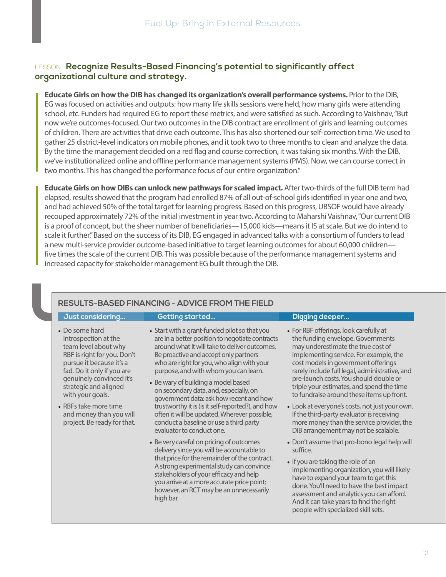#### LESSON: **Recognize Results-Based Financing's potential to significantly affect organizational culture and strategy.**

**Educate Girls on how the DIB has changed its organization's overall performance systems.** Prior to the DIB, EG was focused on activities and outputs: how many life skills sessions were held, how many girls were attending school, etc. Funders had required EG to report these metrics, and were satisfied as such. According to Vaishnav, "But now we're outcomes-focused. Our two outcomes in the DIB contract are enrollment of girls and learning outcomes of children. There are activities that drive each outcome. This has also shortened our self-correction time. We used to gather 25 district-level indicators on mobile phones, and it took two to three months to clean and analyze the data. By the time the management decided on a red flag and course correction, it was taking six months. With the DIB, we've institutionalized online and offline performance management systems (PMS). Now, we can course correct in two months. This has changed the performance focus of our entire organization."

**Educate Girls on how DIBs can unlock new pathways for scaled impact.** After two-thirds of the full DIB term had elapsed, results showed that the program had enrolled 87% of all out-of-school girls identified in year one and two, and had achieved 50% of the total target for learning progress. Based on this progress, UBSOF would have already recouped approximately 72% of the initial investment in year two. According to Maharshi Vaishnav, "Our current DIB is a proof of concept, but the sheer number of beneficiaries—15,000 kids—means it IS at scale. But we do intend to scale it further." Based on the success of its DIB, EG engaged in advanced talks with a consortium of funders to lead a new multi-service provider outcome-based initiative to target learning outcomes for about 60,000 children five times the scale of the current DIB. This was possible because of the performance management systems and increased capacity for stakeholder management EG built through the DIB.

#### **RESULTS-BASED FINANCING - ADVICE FROM THE FIELD**

#### **Just considering... Getting started... Digging deeper...**

- Do some hard introspection at the team level about why RBF is right for you. Don't pursue it because it's a fad. Do it only if you are genuinely convinced it's strategic and aligned with your goals.
- RBFs take more time and money than you will project. Be ready for that.
- Start with a grant-funded pilot so that you are in a better position to negotiate contracts around what it will take to deliver outcomes. Be proactive and accept only partners who are right for you, who align with your purpose, and with whom you can learn.
- Be wary of building a model based on secondary data, and, especially, on government data: ask how recent and how trustworthy it is (is it self-reported?), and how often it will be updated. Wherever possible, conduct a baseline or use a third party evaluator to conduct one.
- Be very careful on pricing of outcomes delivery since you will be accountable to that price for the remainder of the contract. A strong experimental study can convince stakeholders of your efficacy and help you arrive at a more accurate price point; however, an RCT may be an unnecessarily high bar.

- For RBF offerings, look carefully at the funding envelope. Governments may underestimate the true cost of implementing service. For example, the cost models in government offerings rarely include full legal, administrative, and pre-launch costs. You should double or triple your estimates, and spend the time to fundraise around these items up front.
- Look at everyone's costs, not just your own. If the third-party evaluator is receiving more money than the service provider, the DIB arrangement may not be scalable.
- Don't assume that pro-bono legal help will suffice.
- If you are taking the role of an implementing organization, you will likely have to expand your team to get this done. You'll need to have the best impact assessment and analytics you can afford. And it can take years to find the right people with specialized skill sets.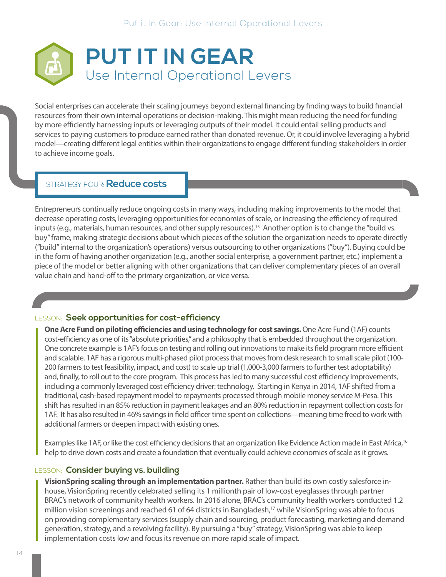<span id="page-15-0"></span>

Social enterprises can accelerate their scaling journeys beyond external financing by finding ways to build financial resources from their own internal operations or decision-making. This might mean reducing the need for funding by more efficiently harnessing inputs or leveraging outputs of their model. It could entail selling products and services to paying customers to produce earned rather than donated revenue. Or, it could involve leveraging a hybrid model—creating different legal entities within their organizations to engage different funding stakeholders in order to achieve income goals.

#### STRATEGY FOUR: **Reduce costs**

Entrepreneurs continually reduce ongoing costs in many ways, including making improvements to the model that decrease operating costs, leveraging opportunities for economies of scale, or increasing the efficiency of required inputs (e.g., materials, human resources, and other supply resources).<sup>15</sup> Another option is to change the "build vs. buy" frame, making strategic decisions about which pieces of the solution the organization needs to operate directly ("build" internal to the organization's operations) versus outsourcing to other organizations ("buy"). Buying could be in the form of having another organization (e.g., another social enterprise, a government partner, etc.) implement a piece of the model or better aligning with other organizations that can deliver complementary pieces of an overall value chain and hand-off to the primary organization, or vice versa.

#### LESSON: **Seek opportunities for cost-efficiency**

**One Acre Fund on piloting efficiencies and using technology for cost savings.** One Acre Fund (1AF) counts cost-efficiency as one of its "absolute priorities," and a philosophy that is embedded throughout the organization. One concrete example is 1AF's focus on testing and rolling out innovations to make its field program more efficient and scalable. 1AF has a rigorous multi-phased pilot process that moves from desk research to small scale pilot (100- 200 farmers to test feasibility, impact, and cost) to scale up trial (1,000-3,000 farmers to further test adoptability) and, finally, to roll out to the core program. This process has led to many successful cost efficiency improvements, including a commonly leveraged cost efficiency driver: technology. Starting in Kenya in 2014, 1AF shifted from a traditional, cash-based repayment model to repayments processed through mobile money service M-Pesa. This shift has resulted in an 85% reduction in payment leakages and an 80% reduction in repayment collection costs for 1AF. It has also resulted in 46% savings in field officer time spent on collections—meaning time freed to work with additional farmers or deepen impact with existing ones.

Examples like 1AF, or like the cost efficiency decisions that an organization like Evidence Action made in East Africa,<sup>16</sup> help to drive down costs and create a foundation that eventually could achieve economies of scale as it grows.

#### LESSON: **Consider buying vs. building**

**VisionSpring scaling through an implementation partner.** Rather than build its own costly salesforce inhouse, VisionSpring recently celebrated selling its 1 millionth pair of low-cost eyeglasses through partner BRAC's network of community health workers. In 2016 alone, BRAC's community health workers conducted 1.2 million vision screenings and reached 61 of 64 districts in Bangladesh,<sup>17</sup> while VisionSpring was able to focus on providing complementary services (supply chain and sourcing, product forecasting, marketing and demand generation, strategy, and a revolving facility). By pursuing a "buy" strategy, VisionSpring was able to keep implementation costs low and focus its revenue on more rapid scale of impact.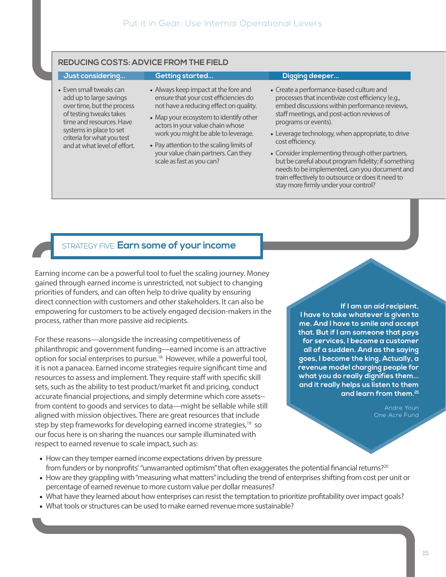#### <span id="page-16-0"></span>**REDUCING COSTS: ADVICE FROM THE FIELD**

• Even small tweaks can add up to large savings over time, but the process of testing tweaks takes time and resources. Have systems in place to set criteria for what you test and at what level of effort.

#### **Just considering... Getting started... Digging deeper...**

- Always keep impact at the fore and ensure that your cost efficiencies do not have a reducing effect on quality.
- Map your ecosystem to identify other actors in your value chain whose work you might be able to leverage.
- Pay attention to the scaling limits of your value chain partners. Can they scale as fast as you can?

- Create a performance-based culture and processes that incentivize cost efficiency (e.g., embed discussions within performance reviews, staff meetings, and post-action reviews of programs or events).
- Leverage technology, when appropriate, to drive cost efficiency.
- Consider implementing through other partners, but be careful about program fidelity; if something needs to be implemented, can you document and train effectively to outsource or does it need to stay more firmly under your control?

#### STRATEGY FIVE: **Earn some of your income**

Earning income can be a powerful tool to fuel the scaling journey. Money gained through earned income is unrestricted, not subject to changing priorities of funders, and can often help to drive quality by ensuring direct connection with customers and other stakeholders. It can also be empowering for customers to be actively engaged decision-makers in the process, rather than more passive aid recipients.

For these reasons—alongside the increasing competitiveness of philanthropic and government funding—earned income is an attractive option for social enterprises to pursue.18 However, while a powerful tool, it is not a panacea. Earned income strategies require significant time and resources to assess and implement. They require staff with specific skill sets, such as the ability to test product/market fit and pricing, conduct accurate financial projections, and simply determine which core assets- from content to goods and services to data—might be sellable while still aligned with mission objectives. There are great resources that include step by step frameworks for developing earned income strategies,<sup>19</sup> so our focus here is on sharing the nuances our sample illuminated with respect to earned revenue to scale impact, such as:

**If I am an aid recipient, I have to take whatever is given to me. And I have to smile and accept that. But if I am someone that pays for services, I become a customer all of a sudden. And as the saying goes, I become the king, Actually, a revenue model charging people for what you do really dignifies them... and it really helps us listen to them and learn from them.21**

> Andre Youn One Acre Fund

- How can they temper earned income expectations driven by pressure from funders or by nonprofits' "unwarranted optimism" that often exaggerates the potential financial returns?<sup>20</sup>
- How are they grappling with "measuring what matters" including the trend of enterprises shifting from cost per unit or percentage of earned revenue to more custom value per dollar measures?
- What have they learned about how enterprises can resist the temptation to prioritize profitability over impact goals?
- What tools or structures can be used to make earned revenue more sustainable?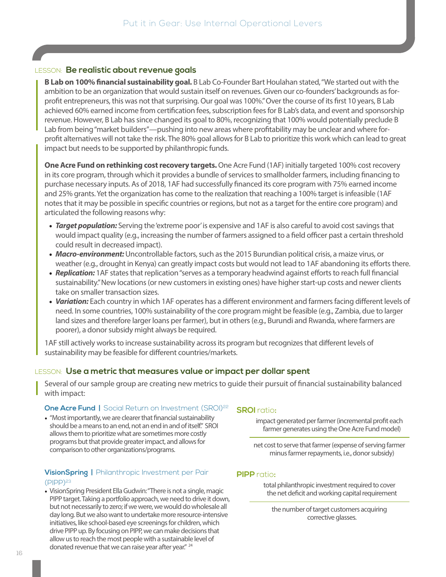#### <span id="page-17-0"></span>LESSON: **Be realistic about revenue goals**

**B Lab on 100% financial sustainability goal.** B Lab Co-Founder Bart Houlahan stated, "We started out with the ambition to be an organization that would sustain itself on revenues. Given our co-founders' backgrounds as forprofit entrepreneurs, this was not that surprising. Our goal was 100%." Over the course of its first 10 years, B Lab achieved 60% earned income from certification fees, subscription fees for B Lab's data, and event and sponsorship revenue. However, B Lab has since changed its goal to 80%, recognizing that 100% would potentially preclude B Lab from being "market builders"—pushing into new areas where profitability may be unclear and where forprofit alternatives will not take the risk. The 80% goal allows for B Lab to prioritize this work which can lead to great impact but needs to be supported by philanthropic funds.

**One Acre Fund on rethinking cost recovery targets.** One Acre Fund (1AF) initially targeted 100% cost recovery in its core program, through which it provides a bundle of services to smallholder farmers, including financing to purchase necessary inputs. As of 2018, 1AF had successfully financed its core program with 75% earned income and 25% grants. Yet the organization has come to the realization that reaching a 100% target is infeasible (1AF notes that it may be possible in specific countries or regions, but not as a target for the entire core program) and articulated the following reasons why:

- *Target population:* Serving the 'extreme poor' is expensive and 1AF is also careful to avoid cost savings that would impact quality (e.g., increasing the number of farmers assigned to a field officer past a certain threshold could result in decreased impact).
- *Macro-environment:* Uncontrollable factors, such as the 2015 Burundian political crisis, a maize virus, or weather (e.g., drought in Kenya) can greatly impact costs but would not lead to 1AF abandoning its efforts there.
- *Replication:* 1AF states that replication "serves as a temporary headwind against efforts to reach full financial sustainability." New locations (or new customers in existing ones) have higher start-up costs and newer clients take on smaller transaction sizes.
- *Variation:* Each country in which 1AF operates has a different environment and farmers facing different levels of need. In some countries, 100% sustainability of the core program might be feasible (e.g., Zambia, due to larger land sizes and therefore larger loans per farmer), but in others (e.g., Burundi and Rwanda, where farmers are poorer), a donor subsidy might always be required.

1AF still actively works to increase sustainability across its program but recognizes that different levels of sustainability may be feasible for different countries/markets.

#### LESSON: **Use a metric that measures value or impact per dollar spent**

Several of our sample group are creating new metrics to guide their pursuit of financial sustainability balanced with impact:

#### **One Acre Fund | Social Return on Investment (SROI)<sup>22</sup>**

• "Most importantly, we are clearer that financial sustainability should be a means to an end, not an end in and of itself." SROI allows them to prioritize what are sometimes more costly programs but that provide greater impact, and allows for comparison to other organizations/programs.

#### **VisionSpring | Philanthropic Investment per Pair**  $(PIPP)$ <sup>23</sup>

• VisionSpring President Ella Gudwin: "There is not a single, magic PIPP target. Taking a portfolio approach, we need to drive it down, but not necessarily to zero; if we were, we would do wholesale all day long. But we also want to undertake more resource-intensive initiatives, like school-based eye screenings for children, which drive PIPP up. By focusing on PIPP, we can make decisions that allow us to reach the most people with a sustainable level of donated revenue that we can raise year after year." 24

#### **SROI** ratio**:**

impact generated per farmer (incremental profit each farmer generates using the One Acre Fund model)

net cost to serve that farmer (expense of serving farmer minus farmer repayments, i.e., donor subsidy)

#### **PIPP** ratio**:**

total philanthropic investment required to cover the net deficit and working capital requirement

the number of target customers acquiring corrective glasses.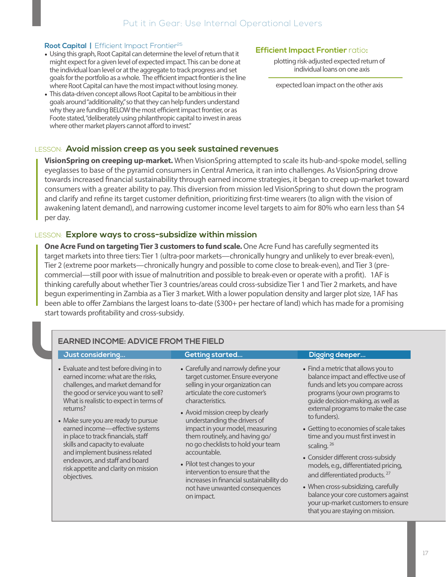#### **Root Capital | Efficient Impact Frontier<sup>25</sup>**

- Using this graph, Root Capital can determine the level of return that it might expect for a given level of expected impact. This can be done at the individual loan level or at the aggregate to track progress and set goals for the portfolio as a whole. The efficient impact frontier is the line where Root Capital can have the most impact without losing money.
- This data-driven concept allows Root Capital to be ambitious in their goals around "additionality," so that they can help funders understand why they are funding BELOW the most efficient impact frontier, or as Foote stated, "deliberately using philanthropic capital to invest in areas where other market players cannot afford to invest."

#### **Efficient Impact Frontier** ratio**:**

plotting risk-adjusted expected return of individual loans on one axis

expected loan impact on the other axis

#### LESSON: **Avoid mission creep as you seek sustained revenues**

**VisionSpring on creeping up-market.** When VisionSpring attempted to scale its hub-and-spoke model, selling eyeglasses to base of the pyramid consumers in Central America, it ran into challenges. As VisionSpring drove towards increased financial sustainability through earned income strategies, it began to creep up-market toward consumers with a greater ability to pay. This diversion from mission led VisionSpring to shut down the program and clarify and refine its target customer definition, prioritizing first-time wearers (to align with the vision of awakening latent demand), and narrowing customer income level targets to aim for 80% who earn less than \$4 per day.

#### LESSON: **Explore ways to cross-subsidize within mission**

**One Acre Fund on targeting Tier 3 customers to fund scale.** One Acre Fund has carefully segmented its target markets into three tiers: Tier 1 (ultra-poor markets—chronically hungry and unlikely to ever break-even), Tier 2 (extreme poor markets—chronically hungry and possible to come close to break-even), and Tier 3 (precommercial—still poor with issue of malnutrition and possible to break-even or operate with a profit). 1AF is thinking carefully about whether Tier 3 countries/areas could cross-subsidize Tier 1 and Tier 2 markets, and have begun experimenting in Zambia as a Tier 3 market. With a lower population density and larger plot size, 1AF has been able to offer Zambians the largest loans to-date (\$300+ per hectare of land) which has made for a promising start towards profitability and cross-subsidy.

#### **EARNED INCOME: ADVICE FROM THE FIELD**

#### **Just considering... Getting started... Digging deeper...**

- Evaluate and test before diving in to earned income: what are the risks, challenges, and market demand for the good or service you want to sell? What is realistic to expect in terms of returns?
- Make sure you are ready to pursue earned income—effective systems in place to track financials, staff skills and capacity to evaluate and implement business related endeavors, and staff and board risk appetite and clarity on mission objectives.
- Carefully and narrowly define your target customer. Ensure everyone selling in your organization can articulate the core customer's characteristics.
- Avoid mission creep by clearly understanding the drivers of impact in your model, measuring them routinely, and having go/ no go checklists to hold your team accountable.
- Pilot test changes to your intervention to ensure that the increases in financial sustainability do not have unwanted consequences on impact.

- Find a metric that allows you to balance impact and effective use of funds and lets you compare across programs (your own programs to guide decision-making, as well as external programs to make the case to funders).
- Getting to economies of scale takes time and you must first invest in scaling.<sup>26</sup>
- Consider different cross-subsidy models, e.g., differentiated pricing, and differentiated products.<sup>27</sup>
- When cross-subsidizing, carefully balance your core customers against your up-market customers to ensure that you are staying on mission.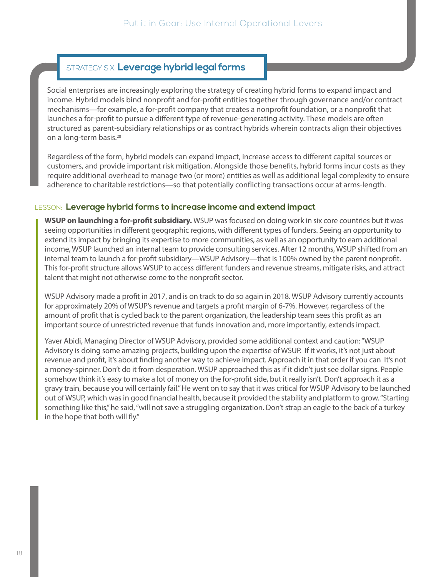### <span id="page-19-0"></span>STRATEGY SIX: **Leverage hybrid legal forms**

Social enterprises are increasingly exploring the strategy of creating hybrid forms to expand impact and income. Hybrid models bind nonprofit and for-profit entities together through governance and/or contract mechanisms—for example, a for-profit company that creates a nonprofit foundation, or a nonprofit that launches a for-profit to pursue a different type of revenue-generating activity. These models are often structured as parent-subsidiary relationships or as contract hybrids wherein contracts align their objectives on a long-term basis.28

Regardless of the form, hybrid models can expand impact, increase access to different capital sources or customers, and provide important risk mitigation. Alongside those benefits, hybrid forms incur costs as they require additional overhead to manage two (or more) entities as well as additional legal complexity to ensure adherence to charitable restrictions—so that potentially conflicting transactions occur at arms-length.

#### LESSON: **Leverage hybrid forms to increase income and extend impact**

**WSUP on launching a for-profit subsidiary.** WSUP was focused on doing work in six core countries but it was seeing opportunities in different geographic regions, with different types of funders. Seeing an opportunity to extend its impact by bringing its expertise to more communities, as well as an opportunity to earn additional income, WSUP launched an internal team to provide consulting services. After 12 months, WSUP shifted from an internal team to launch a for-profit subsidiary—WSUP Advisory—that is 100% owned by the parent nonprofit. This for-profit structure allows WSUP to access different funders and revenue streams, mitigate risks, and attract talent that might not otherwise come to the nonprofit sector.

WSUP Advisory made a profit in 2017, and is on track to do so again in 2018. WSUP Advisory currently accounts for approximately 20% of WSUP's revenue and targets a profit margin of 6-7%. However, regardless of the amount of profit that is cycled back to the parent organization, the leadership team sees this profit as an important source of unrestricted revenue that funds innovation and, more importantly, extends impact.

Yaver Abidi, Managing Director of WSUP Advisory, provided some additional context and caution: "WSUP Advisory is doing some amazing projects, building upon the expertise of WSUP. If it works, it's not just about revenue and profit, it's about finding another way to achieve impact. Approach it in that order if you can It's not a money-spinner. Don't do it from desperation. WSUP approached this as if it didn't just see dollar signs. People somehow think it's easy to make a lot of money on the for-profit side, but it really isn't. Don't approach it as a gravy train, because you will certainly fail." He went on to say that it was critical for WSUP Advisory to be launched out of WSUP, which was in good financial health, because it provided the stability and platform to grow. "Starting something like this," he said, "will not save a struggling organization. Don't strap an eagle to the back of a turkey in the hope that both will fly."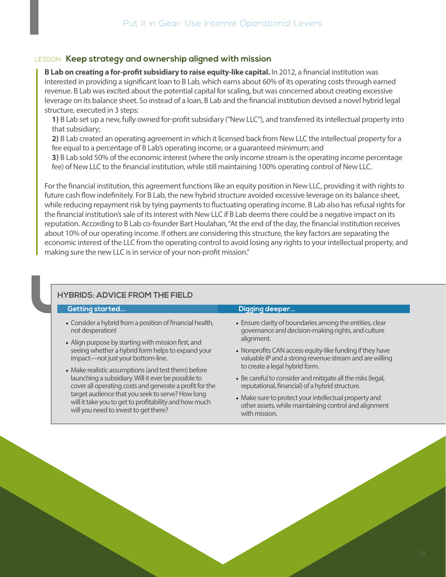#### LESSON: **Keep strategy and ownership aligned with mission**

**B Lab on creating a for-profit subsidiary to raise equity-like capital.** In 2012, a financial institution was interested in providing a significant loan to B Lab, which earns about 60% of its operating costs through earned revenue. B Lab was excited about the potential capital for scaling, but was concerned about creating excessive leverage on its balance sheet. So instead of a loan, B Lab and the financial institution devised a novel hybrid legal structure, executed in 3 steps:

**1)** B Lab set up a new, fully owned for-profit subsidiary ("New LLC"), and transferred its intellectual property into that subsidiary;

**2)** B Lab created an operating agreement in which it licensed back from New LLC the intellectual property for a fee equal to a percentage of B Lab's operating income, or a guaranteed minimum; and

**3)** B Lab sold 50% of the economic interest (where the only income stream is the operating income percentage fee) of New LLC to the financial institution, while still maintaining 100% operating control of New LLC.

For the financial institution, this agreement functions like an equity position in New LLC, providing it with rights to future cash flow indefinitely. For B Lab, the new hybrid structure avoided excessive leverage on its balance sheet, while reducing repayment risk by tying payments to fluctuating operating income. B Lab also has refusal rights for the financial institution's sale of its interest with New LLC if B Lab deems there could be a negative impact on its reputation. According to B Lab co-founder Bart Houlahan, "At the end of the day, the financial institution receives about 10% of our operating income. If others are considering this structure, the key factors are separating the economic interest of the LLC from the operating control to avoid losing any rights to your intellectual property, and making sure the new LLC is in service of your non-profit mission."

#### **HYBRIDS: ADVICE FROM THE FIELD**

#### • Consider a hybrid from a position of financial health, not desperation! • Align purpose by starting with mission first, and seeing whether a hybrid form helps to expand your impact—not just your bottom-line. • Make realistic assumptions (and test them) before • Ensure clarity of boundaries among the entities, clear governance and decision-making rights, and culture alignment. to create a legal hybrid form. **Getting started... Digging deeper...**

launching a subsidiary. Will it ever be possible to cover all operating costs and generate a profit for the target audience that you seek to serve? How long will it take you to get to profitability and how much will you need to invest to get there?

### • Nonprofits CAN access equity-like funding if they have valuable IP and a strong revenue stream and are willing

- Be careful to consider and mitigate all the risks (legal, reputational, financial) of a hybrid structure.
- Make sure to protect your intellectual property and other assets, while maintaining control and alignment with mission.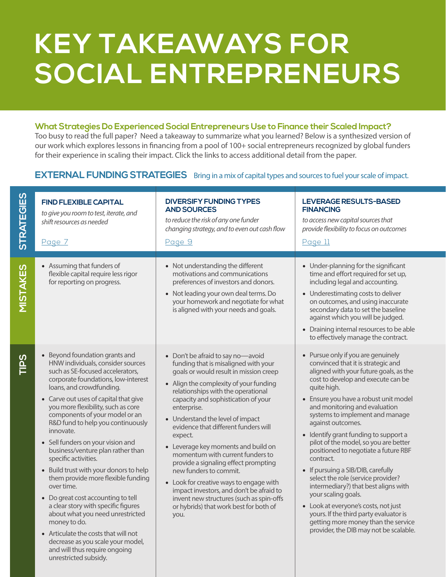## **KEY TAKEAWAYS FOR SOCIAL ENTREPRENEURS**

#### **What Strategies Do Experienced Social Entrepreneurs Use to Finance their Scaled Impact?**

Too busy to read the full paper? Need a takeaway to summarize what you learned? Below is a synthesized version of our work which explores lessons in financing from a pool of 100+ social entrepreneurs recognized by global funders for their experience in scaling their impact. Click the links to access additional detail from the paper.

### **EXTERNAL FUNDING STRATEGIES** Bring in a mix of capital types and sources to fuel your scale of impact.

| <b>STRATEGIES</b> | <b>FIND FLEXIBLE CAPITAL</b><br>to give you room to test, iterate, and<br>shift resources as needed<br>Page 7                                                                                                                                                                                                                                                                                                                                                                                                                                                                                                                                                                                                                                                                                                         | <b>DIVERSIFY FUNDING TYPES</b><br><b>AND SOURCES</b><br>to reduce the risk of any one funder<br>changing strategy, and to even out cash flow<br>Page 9                                                                                                                                                                                                                                                                                                                                                                                                                                                                                                                             | LEVERAGE RESULTS-BASED<br><b>FINANCING</b><br>to access new capital sources that<br>provide flexibility to focus on outcomes<br>Page 11                                                                                                                                                                                                                                                                                                                                                                                                                                                                                                                                                                                                                        |
|-------------------|-----------------------------------------------------------------------------------------------------------------------------------------------------------------------------------------------------------------------------------------------------------------------------------------------------------------------------------------------------------------------------------------------------------------------------------------------------------------------------------------------------------------------------------------------------------------------------------------------------------------------------------------------------------------------------------------------------------------------------------------------------------------------------------------------------------------------|------------------------------------------------------------------------------------------------------------------------------------------------------------------------------------------------------------------------------------------------------------------------------------------------------------------------------------------------------------------------------------------------------------------------------------------------------------------------------------------------------------------------------------------------------------------------------------------------------------------------------------------------------------------------------------|----------------------------------------------------------------------------------------------------------------------------------------------------------------------------------------------------------------------------------------------------------------------------------------------------------------------------------------------------------------------------------------------------------------------------------------------------------------------------------------------------------------------------------------------------------------------------------------------------------------------------------------------------------------------------------------------------------------------------------------------------------------|
| STAKES            | • Assuming that funders of<br>flexible capital require less rigor<br>for reporting on progress.                                                                                                                                                                                                                                                                                                                                                                                                                                                                                                                                                                                                                                                                                                                       | • Not understanding the different<br>motivations and communications<br>preferences of investors and donors.<br>• Not leading your own deal terms. Do<br>your homework and negotiate for what<br>is aligned with your needs and goals.                                                                                                                                                                                                                                                                                                                                                                                                                                              | • Under-planning for the significant<br>time and effort required for set up,<br>including legal and accounting.<br>• Underestimating costs to deliver<br>on outcomes, and using inaccurate<br>secondary data to set the baseline<br>against which you will be judged.<br>• Draining internal resources to be able<br>to effectively manage the contract.                                                                                                                                                                                                                                                                                                                                                                                                       |
| <b>DSI</b>        | • Beyond foundation grants and<br>HNW individuals, consider sources<br>such as SE-focused accelerators,<br>corporate foundations, low-interest<br>loans, and crowdfunding.<br>• Carve out uses of capital that give<br>you more flexibility, such as core<br>components of your model or an<br>R&D fund to help you continuously<br>innovate.<br>• Sell funders on your vision and<br>business/venture plan rather than<br>specific activities.<br>• Build trust with your donors to help<br>them provide more flexible funding<br>over time.<br>• Do great cost accounting to tell<br>a clear story with specific figures<br>about what you need unrestricted<br>money to do.<br>• Articulate the costs that will not<br>decrease as you scale your model,<br>and will thus require ongoing<br>unrestricted subsidy. | • Don't be afraid to say no-avoid<br>funding that is misaligned with your<br>goals or would result in mission creep<br>• Align the complexity of your funding<br>relationships with the operational<br>capacity and sophistication of your<br>enterprise.<br>• Understand the level of impact<br>evidence that different funders will<br>expect.<br>• Leverage key moments and build on<br>momentum with current funders to<br>provide a signaling effect prompting<br>new funders to commit.<br>• Look for creative ways to engage with<br>impact investors, and don't be afraid to<br>invent new structures (such as spin-offs<br>or hybrids) that work best for both of<br>you. | • Pursue only if you are genuinely<br>convinced that it is strategic and<br>aligned with your future goals, as the<br>cost to develop and execute can be<br>quite high.<br>• Ensure you have a robust unit model<br>and monitoring and evaluation<br>systems to implement and manage<br>against outcomes.<br>• Identify grant funding to support a<br>pilot of the model, so you are better<br>positioned to negotiate a future RBF<br>contract.<br>• If pursuing a SIB/DIB, carefully<br>select the role (service provider?<br>intermediary?) that best aligns with<br>your scaling goals.<br>• Look at everyone's costs, not just<br>yours. If the third party evaluator is<br>getting more money than the service<br>provider, the DIB may not be scalable. |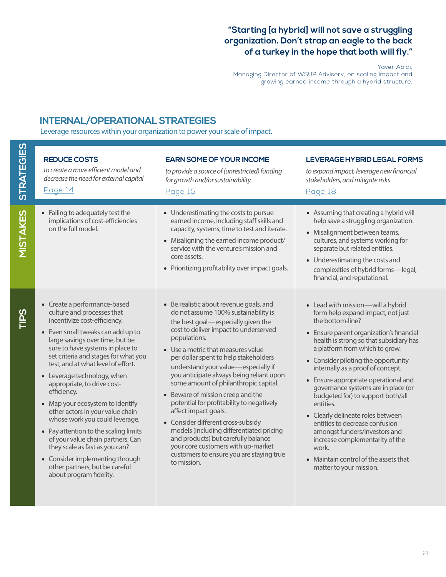#### **"Starting [a hybrid] will not save a struggling organization. Don't strap an eagle to the back of a turkey in the hope that both will fly."**

Yaver Abidi,

Managing Director of WSUP Advisory, on scaling impact and growing earned income through a hybrid structure.

#### **INTERNAL/OPERATIONAL STRATEGIES**

Leverage resources within your organization to power your scale of impact.

| <b>STRATEGIES</b> | <b>REDUCE COSTS</b><br>to create a more efficient model and<br>decrease the need for external capital<br>Page 14                                                                                                                                                                                                                                                                                                                                                                                                                                                                                                                                                                            | <b>EARN SOME OF YOUR INCOME</b><br>to provide a source of (unrestricted) funding<br>for growth and/or sustainability<br><b>Page 15</b>                                                                                                                                                                                                                                                                                                                                                                                                                                                                                                                                                                                        | LEVERAGE HYBRID LEGAL FORMS<br>to expand impact, leverage new financial<br>stakeholders, and mitigate risks<br>Page 18                                                                                                                                                                                                                                                                                                                                                                                                                                                                                                                                   |
|-------------------|---------------------------------------------------------------------------------------------------------------------------------------------------------------------------------------------------------------------------------------------------------------------------------------------------------------------------------------------------------------------------------------------------------------------------------------------------------------------------------------------------------------------------------------------------------------------------------------------------------------------------------------------------------------------------------------------|-------------------------------------------------------------------------------------------------------------------------------------------------------------------------------------------------------------------------------------------------------------------------------------------------------------------------------------------------------------------------------------------------------------------------------------------------------------------------------------------------------------------------------------------------------------------------------------------------------------------------------------------------------------------------------------------------------------------------------|----------------------------------------------------------------------------------------------------------------------------------------------------------------------------------------------------------------------------------------------------------------------------------------------------------------------------------------------------------------------------------------------------------------------------------------------------------------------------------------------------------------------------------------------------------------------------------------------------------------------------------------------------------|
| <b>MISTAKES</b>   | • Failing to adequately test the<br>implications of cost-efficiencies<br>on the full model.                                                                                                                                                                                                                                                                                                                                                                                                                                                                                                                                                                                                 | • Underestimating the costs to pursue<br>earned income, including staff skills and<br>capacity, systems, time to test and iterate.<br>• Misaligning the earned income product/<br>service with the venture's mission and<br>core assets.<br>• Prioritizing profitability over impact goals.                                                                                                                                                                                                                                                                                                                                                                                                                                   | • Assuming that creating a hybrid will<br>help save a struggling organization.<br>• Misalignment between teams,<br>cultures, and systems working for<br>separate but related entities.<br>• Underestimating the costs and<br>complexities of hybrid forms-legal,<br>financial, and reputational.                                                                                                                                                                                                                                                                                                                                                         |
| <b>TIPS</b>       | • Create a performance-based<br>culture and processes that<br>incentivize cost-efficiency.<br>• Even small tweaks can add up to<br>large savings over time, but be<br>sure to have systems in place to<br>set criteria and stages for what you<br>test, and at what level of effort.<br>• Leverage technology, when<br>appropriate, to drive cost-<br>efficiency.<br>• Map your ecosystem to identify<br>other actors in your value chain<br>whose work you could leverage.<br>• Pay attention to the scaling limits<br>of your value chain partners. Can<br>they scale as fast as you can?<br>• Consider implementing through<br>other partners, but be careful<br>about program fidelity. | • Be realistic about revenue goals, and<br>do not assume 100% sustainability is<br>the best goal-especially given the<br>cost to deliver impact to underserved<br>populations.<br>• Use a metric that measures value<br>per dollar spent to help stakeholders<br>understand your value-especially if<br>you anticipate always being reliant upon<br>some amount of philanthropic capital.<br>• Beware of mission creep and the<br>potential for profitability to negatively<br>affect impact goals.<br>• Consider different cross-subsidy<br>models (including differentiated pricing<br>and products) but carefully balance<br>your core customers with up-market<br>customers to ensure you are staying true<br>to mission. | • Lead with mission-will a hybrid<br>form help expand impact, not just<br>the bottom-line?<br>• Ensure parent organization's financial<br>health is strong so that subsidiary has<br>a platform from which to grow.<br>• Consider piloting the opportunity<br>internally as a proof of concept.<br>• Ensure appropriate operational and<br>governance systems are in place (or<br>budgeted for) to support both/all<br>entities.<br>• Clearly delineate roles between<br>entities to decrease confusion<br>amongst funders/investors and<br>increase complementarity of the<br>work.<br>• Maintain control of the assets that<br>matter to your mission. |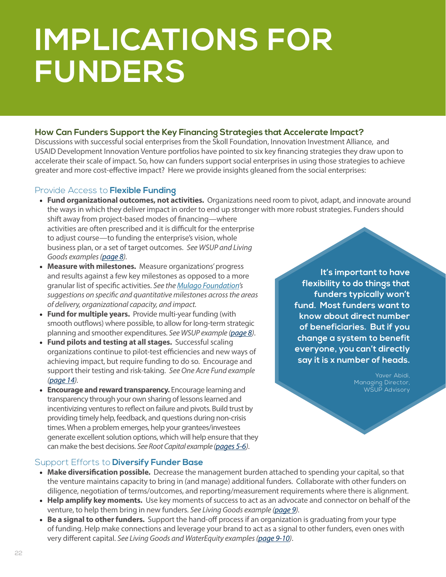# **IMPLICATIONS FOR FUNDERS**

#### **How Can Funders Support the Key Financing Strategies that Accelerate Impact?**

Discussions with successful social enterprises from the Skoll Foundation, Innovation Investment Alliance, and USAID Development Innovation Venture portfolios have pointed to six key financing strategies they draw upon to accelerate their scale of impact. So, how can funders support social enterprises in using those strategies to achieve greater and more cost-effective impact? Here we provide insights gleaned from the social enterprises:

#### Provide Access to **Flexible Funding**

• **Fund organizational outcomes, not activities.** Organizations need room to pivot, adapt, and innovate around the ways in which they deliver impact in order to end up stronger with more robust strategies. Funders should

shift away from project-based modes of financing—where activities are often prescribed and it is difficult for the enterprise to adjust course—to funding the enterprise's vision, whole business plan, or a set of target outcomes. *See WSUP and Living Goods examples [\(page 8](#page-9-0)).*

- **Measure with milestones.** Measure organizations' progress and results against a few key milestones as opposed to a more granular list of specific activities. *See the [Mulago Foundation](http://mulagofoundation.org/ideas/guidelines-for-mulago-milestones )'s suggestions on specific and quantitative milestones across the areas of delivery, organizational capacity, and impact.*
- **Fund for multiple years.** Provide multi-year funding (with smooth outflows) where possible, to allow for long-term strategic planning and smoother expenditures. *See WSUP example [\(page 8\)](#page-9-0)*.
- **Fund pilots and testing at all stages.** Successful scaling organizations continue to pilot-test efficiencies and new ways of achieving impact, but require funding to do so. Encourage and support their testing and risk-taking. *See One Acre Fund example [\(page 14](#page-15-0)).*
- **Encourage and reward transparency.** Encourage learning and transparency through your own sharing of lessons learned and incentivizing ventures to reflect on failure and pivots. Build trust by providing timely help, feedback, and questions during non-crisis times. When a problem emerges, help your grantees/investees generate excellent solution options, which will help ensure that they can make the best decisions. *See Root Capital example [\(pages 5-6\)](#page-6-0)*.

**It's important to have flexibility to do things that funders typically won't fund. Most funders want to know about direct number of beneficiaries. But if you change a system to benefit everyone, you can't directly say it is x number of heads.**

> Yaver Abidi, Managing Director, WSUP Advisory

#### Support Efforts to **Diversify Funder Base**

- **Make diversification possible.** Decrease the management burden attached to spending your capital, so that the venture maintains capacity to bring in (and manage) additional funders. Collaborate with other funders on diligence, negotiation of terms/outcomes, and reporting/measurement requirements where there is alignment.
- **Help amplify key moments.** Use key moments of success to act as an advocate and connector on behalf of the venture, to help them bring in new funders. *See Living Goods example [\(page 9](#page-10-0)).*
- **Be a signal to other funders.** Support the hand-off process if an organization is graduating from your type of funding. Help make connections and leverage your brand to act as a signal to other funders, even ones with very different capital. *See Living Goods and WaterEquity examples ([page 9-10\)](#page-10-0)*.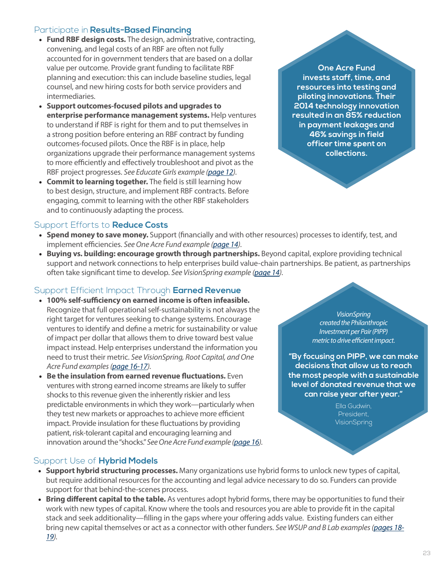#### Participate in **Results-Based Financing**

- **Fund RBF design costs.** The design, administrative, contracting, convening, and legal costs of an RBF are often not fully accounted for in government tenders that are based on a dollar value per outcome. Provide grant funding to facilitate RBF planning and execution: this can include baseline studies, legal counsel, and new hiring costs for both service providers and intermediaries.
- **Support outcomes-focused pilots and upgrades to enterprise performance management systems.** Help ventures to understand if RBF is right for them and to put themselves in a strong position before entering an RBF contract by funding outcomes-focused pilots. Once the RBF is in place, help organizations upgrade their performance management systems to more efficiently and effectively troubleshoot and pivot as the RBF project progresses. *See Educate Girls example ([page 12](#page-13-0)).*
- **Commit to learning together.** The field is still learning how to best design, structure, and implement RBF contracts. Before engaging, commit to learning with the other RBF stakeholders and to continuously adapting the process.

#### Support Efforts to **Reduce Costs**

- **Spend money to save money.** Support (financially and with other resources) processes to identify, test, and implement efficiencies. *See One Acre Fund example ([page 14](#page-15-0)).*
- **Buying vs. building: encourage growth through partnerships.** Beyond capital, explore providing technical support and network connections to help enterprises build value-chain partnerships. Be patient, as partnerships often take significant time to develop. *See VisionSpring example ([page 14\)](#page-15-0).*

#### Support Efficient Impact Through **Earned Revenue**

- **100% self-sufficiency on earned income is often infeasible.**  Recognize that full operational self-sustainability is not always the right target for ventures seeking to change systems. Encourage ventures to identify and define a metric for sustainability or value of impact per dollar that allows them to drive toward best value impact instead. Help enterprises understand the information you need to trust their metric. *See VisionSpring, Root Capital, and One Acre Fund examples [\(page 16-17](#page-17-0)).*
- **Be the insulation from earned revenue fluctuations.** Even ventures with strong earned income streams are likely to suffer shocks to this revenue given the inherently riskier and less predictable environments in which they work—particularly when they test new markets or approaches to achieve more efficient impact. Provide insulation for these fluctuations by providing patient, risk-tolerant capital and encouraging learning and innovation around the "shocks." *See One Acre Fund example [\(page 16\)](#page-17-0).*

### Support Use of **Hybrid Models**

- **Support hybrid structuring processes.** Many organizations use hybrid forms to unlock new types of capital, but require additional resources for the accounting and legal advice necessary to do so. Funders can provide support for that behind-the-scenes process.
- **Bring different capital to the table.** As ventures adopt hybrid forms, there may be opportunities to fund their work with new types of capital. Know where the tools and resources you are able to provide fit in the capital stack and seek additionality—filling in the gaps where your offering adds value. Existing funders can either bring new capital themselves or act as a connector with other funders. *See WSUP and B Lab examples [\(pages 18-](#page-19-0) [19\)](#page-19-0).*

**One Acre Fund invests staff, time, and resources into testing and piloting innovations. Their 2014 technology innovation resulted in an 85% reduction in payment leakages and 46% savings in field officer time spent on collections.** 

> *VisionSpring created the Philanthropic Investment per Pair (PIPP) metric to drive efficient impact.*

**"By focusing on PIPP, we can make decisions that allow us to reach the most people with a sustainable level of donated revenue that we can raise year after year."** 

> Ella Gudwin, President, **VisionSpring**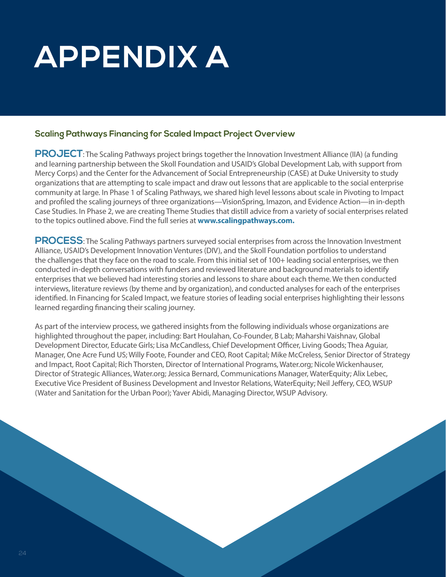# **APPENDIX A**

#### **Scaling Pathways Financing for Scaled Impact Project Overview**

**PROJECT**: The Scaling Pathways project brings together the Innovation Investment Alliance (IIA) (a funding and learning partnership between the Skoll Foundation and USAID's Global Development Lab, with support from Mercy Corps) and the Center for the Advancement of Social Entrepreneurship (CASE) at Duke University to study organizations that are attempting to scale impact and draw out lessons that are applicable to the social enterprise community at large. In Phase 1 of Scaling Pathways, we shared high level lessons about scale in Pivoting to Impact and profiled the scaling journeys of three organizations—VisionSpring, Imazon, and Evidence Action—in in-depth Case Studies. In Phase 2, we are creating Theme Studies that distill advice from a variety of social enterprises related to the topics outlined above. Find the full series at **www.scalingpathways.com.**

**PROCESS**: The Scaling Pathways partners surveyed social enterprises from across the Innovation Investment Alliance, USAID's Development Innovation Ventures (DIV), and the Skoll Foundation portfolios to understand the challenges that they face on the road to scale. From this initial set of 100+ leading social enterprises, we then conducted in-depth conversations with funders and reviewed literature and background materials to identify enterprises that we believed had interesting stories and lessons to share about each theme. We then conducted interviews, literature reviews (by theme and by organization), and conducted analyses for each of the enterprises identified. In Financing for Scaled Impact, we feature stories of leading social enterprises highlighting their lessons learned regarding financing their scaling journey.

As part of the interview process, we gathered insights from the following individuals whose organizations are highlighted throughout the paper, including: Bart Houlahan, Co-Founder, B Lab; Maharshi Vaishnav, Global Development Director, Educate Girls; Lisa McCandless, Chief Development Officer, Living Goods; Thea Aguiar, Manager, One Acre Fund US; Willy Foote, Founder and CEO, Root Capital; Mike McCreless, Senior Director of Strategy and Impact, Root Capital; Rich Thorsten, Director of International Programs, Water.org; Nicole Wickenhauser, Director of Strategic Alliances, Water.org; Jessica Bernard, Communications Manager, WaterEquity; Alix Lebec, Executive Vice President of Business Development and Investor Relations, WaterEquity; Neil Jeffery, CEO, WSUP (Water and Sanitation for the Urban Poor); Yaver Abidi, Managing Director, WSUP Advisory.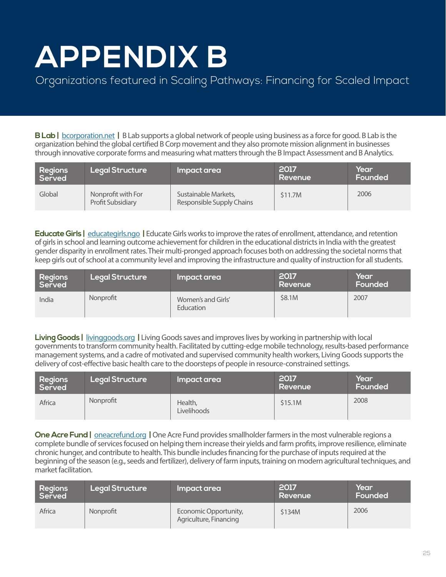# **APPENDIX B**

### Organizations featured in Scaling Pathways: Financing for Scaled Impact

**B Lab |** [bcorporation.net](http://bcorporation.net) **|** B Lab supports a global network of people using business as a force for good. B Lab is the organization behind the global certified B Corp movement and they also promote mission alignment in businesses through innovative corporate forms and measuring what matters through the B Impact Assessment and B Analytics.

| Regions<br>Served | <b>Legal Structure</b>                         | Impact area                                       | 2017<br>Revenue | Year<br>Founded |
|-------------------|------------------------------------------------|---------------------------------------------------|-----------------|-----------------|
| Global            | Nonprofit with For<br><b>Profit Subsidiary</b> | Sustainable Markets,<br>Responsible Supply Chains | \$11.7M         | 2006            |

**Educate Girls |** [educategirls.ngo](http://educategirls.ngo) **|** Educate Girls works to improve the rates of enrollment, attendance, and retention of girls in school and learning outcome achievement for children in the educational districts in India with the greatest gender disparity in enrollment rates. Their multi-pronged approach focuses both on addressing the societal norms that keep girls out of school at a community level and improving the infrastructure and quality of instruction for all students.

| Regions<br>Served | <b>Legal Structure</b> | Impact area                     | 2017<br>Revenue | Year<br>Founded |
|-------------------|------------------------|---------------------------------|-----------------|-----------------|
| India             | Nonprofit              | Women's and Girls'<br>Education | \$8.1M          | 2007            |

**Living Goods |** [livinggoods.org](http://livinggoods.org) **|** Living Goods saves and improves lives by working in partnership with local governments to transform community health. Facilitated by cutting-edge mobile technology, results-based performance management systems, and a cadre of motivated and supervised community health workers, Living Goods supports the delivery of cost-effective basic health care to the doorsteps of people in resource-constrained settings.

| Regions<br>Served | <b>Legal Structure</b> | Impact area            | 2017<br>Revenue | Year<br>Founded |
|-------------------|------------------------|------------------------|-----------------|-----------------|
| Africa            | Nonprofit              | Health,<br>Livelihoods | \$15.1M         | 2008            |

**One Acre Fund |** [oneacrefund.org](http://oneacrefund.org) **|** One Acre Fund provides smallholder farmers in the most vulnerable regions a complete bundle of services focused on helping them increase their yields and farm profits, improve resilience, eliminate chronic hunger, and contribute to health. This bundle includes financing for the purchase of inputs required at the beginning of the season (e.g., seeds and fertilizer), delivery of farm inputs, training on modern agricultural techniques, and market facilitation.

| Regions<br>Served | <b>Legal Structure</b> | Impact area                                     | 2017<br>Revenue | Year<br>Founded |
|-------------------|------------------------|-------------------------------------------------|-----------------|-----------------|
| Africa            | Nonprofit              | Economic Opportunity,<br>Agriculture, Financing | \$134M          | 2006            |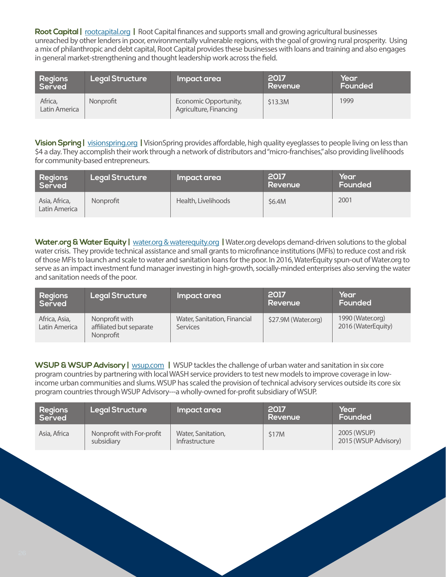**Root Capital |** [rootcapital.org](http://rootcapital.org) **|** Root Capital finances and supports small and growing agricultural businesses unreached by other lenders in poor, environmentally vulnerable regions, with the goal of growing rural prosperity. Using a mix of philanthropic and debt capital, Root Capital provides these businesses with loans and training and also engages in general market-strengthening and thought leadership work across the field.

| Regions<br>Served        | <b>Legal Structure</b> | Impact area                                     | 2017<br>Revenue | Year<br>Founded |
|--------------------------|------------------------|-------------------------------------------------|-----------------|-----------------|
| Africa,<br>Latin America | Nonprofit              | Economic Opportunity,<br>Agriculture, Financing | \$13.3M         | 1999            |

**Vision Spring |** [visionspring.org](http://visionspring.org) **|** VisionSpring provides affordable, high quality eyeglasses to people living on less than \$4 a day. They accomplish their work through a network of distributors and "micro-franchises," also providing livelihoods for community-based entrepreneurs.

| Regions<br>Served              | <b>Legal Structure</b> | Impact area         | 2017<br>Revenue | Year<br><b>Founded</b> |
|--------------------------------|------------------------|---------------------|-----------------|------------------------|
| Asia, Africa,<br>Latin America | Nonprofit              | Health, Livelihoods | \$6.4M          | 2001                   |

**Water.org & Water Equity |** [water.org & waterequity.org](http://water.org & waterequity.org) **|** Water.org develops demand-driven solutions to the global water crisis. They provide technical assistance and small grants to microfinance institutions (MFIs) to reduce cost and risk of those MFIs to launch and scale to water and sanitation loans for the poor. In 2016, WaterEquity spun-out of Water.org to serve as an impact investment fund manager investing in high-growth, socially-minded enterprises also serving the water and sanitation needs of the poor.

| Regions<br>Served              | <b>Legal Structure</b>                                 | Impact area                              | 2017<br>Revenue     | Year<br>Founded                        |
|--------------------------------|--------------------------------------------------------|------------------------------------------|---------------------|----------------------------------------|
| Africa, Asia,<br>Latin America | Nonprofit with<br>affiliated but separate<br>Nonprofit | Water, Sanitation, Financial<br>Services | \$27.9M (Water.org) | 1990 (Water.org)<br>2016 (WaterEquity) |

**WSUP & WSUP Advisory |** [wsup.com](http://wsup.com) | WSUP tackles the challenge of urban water and sanitation in six core program countries by partnering with local WASH service providers to test new models to improve coverage in lowincome urban communities and slums. WSUP has scaled the provision of technical advisory services outside its core six program countries through WSUP Advisory---a wholly-owned for-profit subsidiary of WSUP.

| Regions<br>Served | <b>Legal Structure</b>                  | Impact area                          | 2017<br>Revenue | Year<br>Founded                     |
|-------------------|-----------------------------------------|--------------------------------------|-----------------|-------------------------------------|
| Asia, Africa      | Nonprofit with For-profit<br>subsidiary | Water, Sanitation,<br>Infrastructure | \$17M           | 2005 (WSUP)<br>2015 (WSUP Advisory) |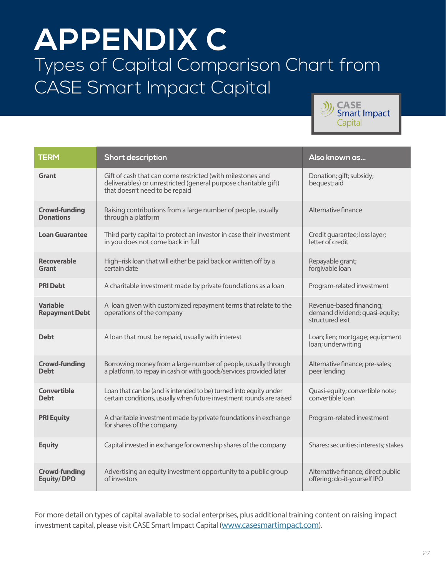## **APPENDIX C** Types of Capital Comparison Chart from CASE Smart Impact Capital



| <b>TERM</b>                               | <b>Short description</b>                                                                                                                                        | Also known as                                                                 |
|-------------------------------------------|-----------------------------------------------------------------------------------------------------------------------------------------------------------------|-------------------------------------------------------------------------------|
| Grant                                     | Gift of cash that can come restricted (with milestones and<br>deliverables) or unrestricted (general purpose charitable gift)<br>that doesn't need to be repaid | Donation; gift; subsidy;<br>bequest; aid                                      |
| <b>Crowd-funding</b><br><b>Donations</b>  | Raising contributions from a large number of people, usually<br>through a platform                                                                              | Alternative finance                                                           |
| <b>Loan Guarantee</b>                     | Third party capital to protect an investor in case their investment<br>in you does not come back in full                                                        | Credit quarantee; loss layer;<br>letter of credit                             |
| <b>Recoverable</b><br>Grant               | High-risk loan that will either be paid back or written off by a<br>certain date                                                                                | Repayable grant;<br>forgivable loan                                           |
| <b>PRI Debt</b>                           | A charitable investment made by private foundations as a loan                                                                                                   | Program-related investment                                                    |
| <b>Variable</b><br><b>Repayment Debt</b>  | A loan given with customized repayment terms that relate to the<br>operations of the company                                                                    | Revenue-based financing;<br>demand dividend; quasi-equity;<br>structured exit |
| <b>Debt</b>                               | A loan that must be repaid, usually with interest                                                                                                               | Loan; lien; mortgage; equipment<br>loan; underwriting                         |
| <b>Crowd-funding</b><br><b>Debt</b>       | Borrowing money from a large number of people, usually through<br>a platform, to repay in cash or with goods/services provided later                            | Alternative finance; pre-sales;<br>peer lending                               |
| <b>Convertible</b><br><b>Debt</b>         | Loan that can be (and is intended to be) turned into equity under<br>certain conditions, usually when future investment rounds are raised                       | Quasi-equity; convertible note;<br>convertible loan                           |
| <b>PRI Equity</b>                         | A charitable investment made by private foundations in exchange<br>for shares of the company                                                                    | Program-related investment                                                    |
| <b>Equity</b>                             | Capital invested in exchange for ownership shares of the company                                                                                                | Shares; securities; interests; stakes                                         |
| <b>Crowd-funding</b><br><b>Equity/DPO</b> | Advertising an equity investment opportunity to a public group<br>of investors                                                                                  | Alternative finance; direct public<br>offering; do-it-yourself IPO            |

For more detail on types of capital available to social enterprises, plus additional training content on raising impact investment capital, please visit CASE Smart Impact Capital [\(www.casesmartimpact.com\)](http://www.casesmartimpact.com).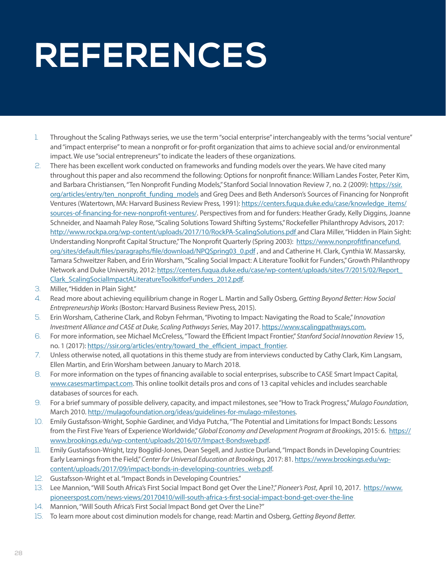# **REFERENCES**

- 1. Throughout the Scaling Pathways series, we use the term "social enterprise" interchangeably with the terms "social venture" and "impact enterprise" to mean a nonprofit or for-profit organization that aims to achieve social and/or environmental impact. We use "social entrepreneurs" to indicate the leaders of these organizations.
- 2. There has been excellent work conducted on frameworks and funding models over the years. We have cited many throughout this paper and also recommend the following: Options for nonprofit finance: William Landes Foster, Peter Kim, and Barbara Christiansen, "Ten Nonprofit Funding Models," Stanford Social Innovation Review 7, no. 2 (2009): [https://ssir.](https://ssir.org/articles/entry/ten_nonprofit_funding_models) [org/articles/entry/ten\\_nonprofit\\_funding\\_models](https://ssir.org/articles/entry/ten_nonprofit_funding_models) and Greg Dees and Beth Anderson's Sources of Financing for Nonprofit Ventures (Watertown, MA: Harvard Business Review Press, 1991): [https://centers.fuqua.duke.edu/case/knowledge\\_items/](https://centers.fuqua.duke.edu/case/knowledge_items/sources-of-financing-for-new-nonprofit-ventures/) [sources-of-financing-for-new-nonprofit-ventures/](https://centers.fuqua.duke.edu/case/knowledge_items/sources-of-financing-for-new-nonprofit-ventures/). Perspectives from and for funders: Heather Grady, Kelly Diggins, Joanne Schneider, and Naamah Paley Rose, "Scaling Solutions Toward Shifting Systems," Rockefeller Philanthropy Advisors, 2017: [http://www.rockpa.org/wp-content/uploads/2017/10/RockPA-ScalingSolutions.pdf](http://www.rockpa.org/wp-content/uploads/2017/10/RockPA-ScalingSolutions.pdf ) and Clara Miller, "Hidden in Plain Sight: Understanding Nonprofit Capital Structure," The Nonprofit Quarterly (Spring 2003): [https://www.nonprofitfinancefund.](https://www.nonprofitfinancefund.org/sites/default/files/paragraphs/file/download/NPQSpring03_0.pdf) [org/sites/default/files/paragraphs/file/download/NPQSpring03\\_0.pdf](https://www.nonprofitfinancefund.org/sites/default/files/paragraphs/file/download/NPQSpring03_0.pdf) , and and Catherine H. Clark, Cynthia W. Massarsky, Tamara Schweitzer Raben, and Erin Worsham, "Scaling Social Impact: A Literature Toolkit for Funders," Growth Philanthropy Network and Duke University, 2012: [https://centers.fuqua.duke.edu/case/wp-content/uploads/sites/7/2015/02/Report\\_](https://centers.fuqua.duke.edu/case/wp-content/uploads/sites/7/2015/02/Report_Clark_ScalingSocialImpactALiteratureToolkitforFunders_2012.pdf) [Clark\\_ScalingSocialImpactALiteratureToolkitforFunders\\_2012.pdf](https://centers.fuqua.duke.edu/case/wp-content/uploads/sites/7/2015/02/Report_Clark_ScalingSocialImpactALiteratureToolkitforFunders_2012.pdf).
- 3. Miller, "Hidden in Plain Sight."
- 4. Read more about achieving equilibrium change in Roger L. Martin and Sally Osberg, *Getting Beyond Better: How Social Entrepreneurship Works* (Boston: Harvard Business Review Press, 2015).
- 5. Erin Worsham, Catherine Clark, and Robyn Fehrman, "Pivoting to Impact: Navigating the Road to Scale," *Innovation Investment Alliance and CASE at Duke, Scaling Pathways Series*, May 2017. [https://www.](https://www.mercycorps.org/sites/default/files/Scaling-Pathways-Pivoting-to-Impact.pdf)scalingpathways.com.
- 6. For more information, see Michael McCreless, "Toward the Efficient Impact Frontier," *Stanford Social Innovation Review* 15, no. 1 (2017): [https://ssir.org/articles/entry/toward\\_the\\_efficient\\_impact\\_frontier.](https://ssir.org/articles/entry/toward_the_efficient_impact_frontier)
- 7. Unless otherwise noted, all quotations in this theme study are from interviews conducted by Cathy Clark, Kim Langsam, Ellen Martin, and Erin Worsham between January to March 2018.
- 8. For more information on the types of financing available to social enterprises, subscribe to CASE Smart Impact Capital, [www.casesmartimpact.com](http://www.casesmartimpact.com). This online toolkit details pros and cons of 13 capital vehicles and includes searchable databases of sources for each.
- 9. For a brief summary of possible delivery, capacity, and impact milestones, see "How to Track Progress," *Mulago Foundation*, March 2010. [http://mulagofoundation.org/ideas/guidelines-for-mulago-milestones.](http://mulagofoundation.org/ideas/guidelines-for-mulago-milestones)
- 10. Emily Gustafsson-Wright, Sophie Gardiner, and Vidya Putcha, "The Potential and Limitations for Impact Bonds: Lessons from the First Five Years of Experience Worldwide," *Global Economy and Development Program at Brooking*s, 2015: 6. [https://](https://www.brookings.edu/wp-content/uploads/2016/07/Impact-Bondsweb.pdf) [www.brookings.edu/wp-content/uploads/2016/07/Impact-Bondsweb.pdf](https://www.brookings.edu/wp-content/uploads/2016/07/Impact-Bondsweb.pdf).
- 11. Emily Gustafsson-Wright, Izzy Bogglid-Jones, Dean Segell, and Justice Durland, "Impact Bonds in Developing Countries: Early Learnings from the Field," *Center for Universal Education at Brookings,* 2017: 81. [https://www.brookings.edu/wp](https://www.brookings.edu/wp-content/uploads/2017/09/impact-bonds-in-developing-countries_web.pdf)[content/uploads/2017/09/impact-bonds-in-developing-countries\\_web.pdf.](https://www.brookings.edu/wp-content/uploads/2017/09/impact-bonds-in-developing-countries_web.pdf)
- 12. Gustafsson-Wright et al. "Impact Bonds in Developing Countries."
- 13. Lee Mannion, "Will South Africa's First Social Impact Bond get Over the Line?," *Pioneer's Post*, April 10, 2017. [https://www.](https://www.pioneerspost.com/news-views/20170410/will-south-africa-s-first-social-impact-bond-get-over-the-line) [pioneerspost.com/news-views/20170410/will-south-africa-s-first-social-impact-bond-get-over-the-line](https://www.pioneerspost.com/news-views/20170410/will-south-africa-s-first-social-impact-bond-get-over-the-line)
- 14. Mannion, "Will South Africa's First Social Impact Bond get Over the Line?"
- 15. To learn more about cost diminution models for change, read: Martin and Osberg, *Getting Beyond Better.*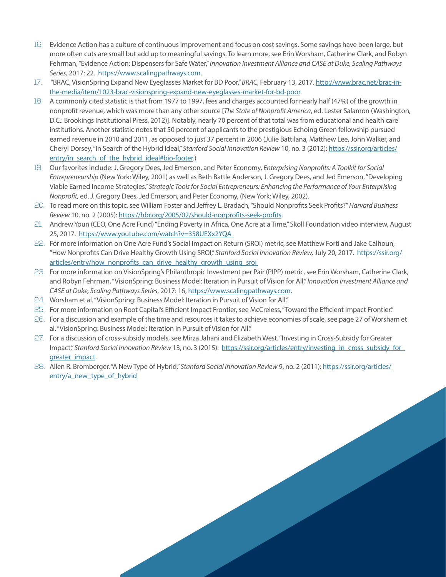- 16. Evidence Action has a culture of continuous improvement and focus on cost savings. Some savings have been large, but more often cuts are small but add up to meaningful savings. To learn more, see Erin Worsham, Catherine Clark, and Robyn Fehrman, "Evidence Action: Dispensers for Safe Water," *Innovation Investment Alliance and CASE at Duke, Scaling Pathways Series,* 2017: 22. <https://www.scalingpathways.com>.
- 17. "BRAC, VisionSpring Expand New Eyeglasses Market for BD Poor," *BRAC*, February 13, 2017. [http://www.brac.net/brac-in](http://www.brac.net/brac-in-the-media/item/1023-brac-visionspring-expand-new-eyeglasses-market-for-bd-poor)[the-media/item/1023-brac-visionspring-expand-new-eyeglasses-market-for-bd-poor](http://www.brac.net/brac-in-the-media/item/1023-brac-visionspring-expand-new-eyeglasses-market-for-bd-poor).
- 18. A commonly cited statistic is that from 1977 to 1997, fees and charges accounted for nearly half (47%) of the growth in nonprofit revenue, which was more than any other source [*The State of Nonprofit America*, ed. Lester Salamon (Washington, D.C.: Brookings Institutional Press, 2012)]. Notably, nearly 70 percent of that total was from educational and health care institutions. Another statistic notes that 50 percent of applicants to the prestigious Echoing Green fellowship pursued earned revenue in 2010 and 2011, as opposed to just 37 percent in 2006 (Julie Battilana, Matthew Lee, John Walker, and Cheryl Dorsey, "In Search of the Hybrid Ideal," *Stanford Social Innovation Review* 10, no. 3 (2012): [https://ssir.org/articles/](https://ssir.org/articles/entry/in_search_of_the_hybrid_ideal#bio-footer) entry/in search of the hybrid ideal#bio-footer.)
- 19. Our favorites include: J. Gregory Dees, Jed Emerson, and Peter Economy, *Enterprising Nonprofits: A Toolkit for Social Entrepreneurship* (New York: Wiley, 2001) as well as Beth Battle Anderson, J. Gregory Dees, and Jed Emerson, "Developing Viable Earned Income Strategies," *Strategic Tools for Social Entrepreneurs: Enhancing the Performance of Your Enterprising Nonprofit,* ed. J. Gregory Dees, Jed Emerson, and Peter Economy, (New York: Wiley, 2002).
- 20. To read more on this topic, see William Foster and Jeffrey L. Bradach, "Should Nonprofits Seek Profits?" *Harvard Business Review* 10, no. 2 (2005):<https://hbr.org/2005/02/should-nonprofits-seek-profits>.
- 21. Andrew Youn (CEO, One Acre Fund) "Ending Poverty in Africa, One Acre at a Time," Skoll Foundation video interview, August 25, 2017. [https://www.youtube.com/watch?v=358UEXx2YQA](https://www.youtube.com/watch?v=358UEXx2YQA )
- 22. For more information on One Acre Fund's Social Impact on Return (SROI) metric, see Matthew Forti and Jake Calhoun, "How Nonprofits Can Drive Healthy Growth Using SROI," *Stanford Social Innovation Review,* July 20, 2017. [https://ssir.org/](https://ssir.org/articles/entry/how_nonprofits_can_drive_healthy_growth_using_sroi ) articles/entry/how\_nonprofits\_can\_drive\_healthy\_growth\_using\_sroi
- 23. For more information on VisionSpring's Philanthropic Investment per Pair (PIPP) metric, see Erin Worsham, Catherine Clark, and Robyn Fehrman, "VisionSpring: Business Model: Iteration in Pursuit of Vision for All," *Innovation Investment Alliance and CASE at Duke, Scaling Pathways Series*, 2017: 16,<https://www.scalingpathways.com>.
- 24. Worsham et al. "VisionSpring: Business Model: Iteration in Pursuit of Vision for All."
- 25. For more information on Root Capital's Efficient Impact Frontier, see McCreless, "Toward the Efficient Impact Frontier."
- 26. For a discussion and example of the time and resources it takes to achieve economies of scale, see page 27 of Worsham et al. "VisionSpring: Business Model: Iteration in Pursuit of Vision for All."
- 27. For a discussion of cross-subsidy models, see Mirza Jahani and Elizabeth West. "Investing in Cross-Subsidy for Greater Impact," *Stanford Social Innovation Review* 13, no. 3 (2015): [https://ssir.org/articles/entry/investing\\_in\\_cross\\_subsidy\\_for\\_](https://ssir.org/articles/entry/investing_in_cross_subsidy_for_greater_impact) [greater\\_impact.](https://ssir.org/articles/entry/investing_in_cross_subsidy_for_greater_impact)
- 28. Allen R. Bromberger. "A New Type of Hybrid," *Stanford Social Innovation Review* 9, no. 2 (2011): [https://ssir.org/articles/](https://ssir.org/articles/entry/a_new_type_of_hybrid) [entry/a\\_new\\_type\\_of\\_hybrid](https://ssir.org/articles/entry/a_new_type_of_hybrid)